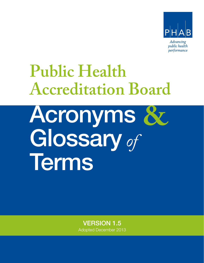

# **Public Health Accreditation Board**

Acronyms Glossary *of* Terms **&**

> VERSION 1.5 Adopted December 2013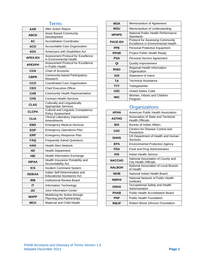|                      | erms                                                                |  |  |  |
|----------------------|---------------------------------------------------------------------|--|--|--|
| AAR                  | <b>After Action Report</b>                                          |  |  |  |
| <b>ABCD</b>          | <b>Asset Based Community</b><br>Development                         |  |  |  |
| AC                   | <b>Accreditation Coordinator</b>                                    |  |  |  |
| <b>ACO</b>           | Accountable Care Organization                                       |  |  |  |
| ADA                  | Americans with Disabilities Act                                     |  |  |  |
| <b>APEX-EH</b>       | Assessment Protocol for Excellence<br>in Environmental Health       |  |  |  |
| <b>APEX<i>PH</i></b> | Assessment Protocol for Excellence<br>in Public Health              |  |  |  |
| COA                  | <b>Chart of Accounts</b>                                            |  |  |  |
| CBPR                 | Community-based Participatory<br>Research                           |  |  |  |
| cco                  | Coordinated Care Organization                                       |  |  |  |
| <b>CEO</b>           | <b>Chief Executive Officer</b>                                      |  |  |  |
| <b>CHR</b>           | <b>Community Health Representative</b>                              |  |  |  |
| <b>CHS</b>           | <b>Contract Health Services</b>                                     |  |  |  |
| <b>CLAS</b>          | <b>Culturally and Linguistically</b><br><b>Appropriate Services</b> |  |  |  |
| <b>CLCPA</b>         | <b>Cultural and Linguistic Competence</b><br>Policy Assessment      |  |  |  |
| <b>CLIA</b>          | <b>Clinical Laboratory Improvement</b><br>Amendments                |  |  |  |
| <b>EMS</b>           | <b>Emergency Medical Services</b>                                   |  |  |  |
| <b>EOP</b>           | <b>Emergency Operations Plan</b>                                    |  |  |  |
| <b>ERP</b>           | Emergency Response Plan                                             |  |  |  |
| FAQ                  | <b>Frequently Asked Questions</b>                                   |  |  |  |
| HAN                  | <b>Health Alert Network</b>                                         |  |  |  |
| HD                   | <b>Health Department</b>                                            |  |  |  |
| HIE                  | <b>Health Information Exchange</b>                                  |  |  |  |
| <b>HIPAA</b>         | Health Insurance Portability and<br><b>Accountability Act</b>       |  |  |  |
| <b>ICS</b>           | <b>Incident Command System</b>                                      |  |  |  |
| <b>ISDEAA</b>        | Indian Self-Determination and<br><b>Educational Assistance Act</b>  |  |  |  |
| <b>IRB</b>           | <b>Institutional Review Board</b>                                   |  |  |  |
| IΤ                   | Information Technology                                              |  |  |  |
| JIC                  | Joint Information Center                                            |  |  |  |
| <b>MAPP</b>          | Mobilizing for Action through<br><b>Planning and Partnerships</b>   |  |  |  |
| <b>MCH</b>           | Maternal and Child Health                                           |  |  |  |

| <b>MOA</b>     | Memorandum of Agreement                                                       |  |  |  |  |
|----------------|-------------------------------------------------------------------------------|--|--|--|--|
| <b>MOU</b>     | Memorandum of Understanding                                                   |  |  |  |  |
| <b>NPHPS</b>   | National Public Health Performance<br>Standards                               |  |  |  |  |
| <b>PACE-EH</b> | <b>Protocol for Assessing Community</b><br>Excellence in Environmental Health |  |  |  |  |
| <b>PPE</b>     | Personal Protective Equipment                                                 |  |  |  |  |
| <b>PPHR</b>    | Project Public Health Ready                                                   |  |  |  |  |
| <b>PSA</b>     | Personal Service Agreement                                                    |  |  |  |  |
| QI             | <b>Quality Improvement</b>                                                    |  |  |  |  |
| <b>RHIO</b>    | Regional Health Information<br>Organization                                   |  |  |  |  |
| SOI            | <b>Statement of Intent</b>                                                    |  |  |  |  |
| TA             | <b>Technical Assistance</b>                                                   |  |  |  |  |
| <b>TTY</b>     | Teletypewriter                                                                |  |  |  |  |
| <b>USC</b>     | United States Code                                                            |  |  |  |  |
| <b>WIC</b>     | Women, Infants and Children<br>Program                                        |  |  |  |  |

### Organizations

| American Public Health Association                              |  |  |  |
|-----------------------------------------------------------------|--|--|--|
| Association of State and Territorial<br><b>Health Officials</b> |  |  |  |
| Bureau of Indian Affairs                                        |  |  |  |
| Centers for Disease Control and<br>Prevention                   |  |  |  |
| US Department of Health and Human<br>Services                   |  |  |  |
| <b>Environmental Protection Agency</b>                          |  |  |  |
| Food and Drug Administration                                    |  |  |  |
| Indian Health Service                                           |  |  |  |
| National Association of County and<br>City Health Officials     |  |  |  |
| National Association of Local Boards<br>of Health               |  |  |  |
| National Indian Health Board                                    |  |  |  |
| National Network of Public Health<br>Institutes                 |  |  |  |
| Occupational Safety and Health<br>Administration                |  |  |  |
| <b>Public Health Accreditation Board</b>                        |  |  |  |
| <b>Public Health Foundation</b>                                 |  |  |  |
| Robert Wood Johnson Foundation                                  |  |  |  |
|                                                                 |  |  |  |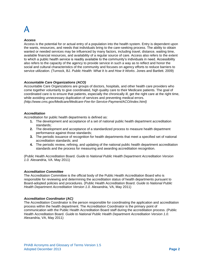#### *Access*

Access is the potential for or actual entry of a population into the health system. Entry is dependent upon the wants, resources, and needs that individuals bring to the care-seeking process. The ability to obtain wanted or needed services may be influenced by many factors, including travel, distance, waiting time, available financial resources, and availability of a regular source of care. Access also refers to the extent to which a public health service is readily available to the community's individuals in need. Accessibility also refers to the capacity of the agency to provide service in such a way as to reflect and honor the social and cultural characteristics of the community and focuses on agency efforts to reduce barriers to service utilization. (Turnock, BJ. *Public Health: What It Is and How It Works*. Jones and Bartlett. 2009)

#### *Accountable Care Organizations (ACO)*

Accountable Care Organizations are groups of doctors, hospitals, and other health care providers who come together voluntarily to give coordinated, high quality care to their Medicare patients. The goal of coordinated care is to ensure that patients, especially the chronically ill, get the right care at the right time, while avoiding unnecessary duplication of services and preventing medical errors. *(http://www.cms.gov/Medicare/Medicare-Fee-for-Service-Payment/ACO/index.html)*

#### *Accreditation*

Accreditation for public health departments is defined as:

- **1.** The development and acceptance of a set of national public health department accreditation standards;
- **2.** The development and acceptance of a standardized process to measure health department performance against those standards;
- **3.** The periodic issuance of recognition for health departments that meet a specified set of national accreditation standards; and
- **4.** The periodic review, refining, and updating of the national public health department accreditation standards and the process for measuring and awarding accreditation recognition.

(Public Health Accreditation Board. *Guide to National Public Health Department Accreditation Version 1.0.* Alexandria, VA. May 2011)

#### *Accreditation Committee*

The Accreditation Committee is the official body of the Public Health Accreditation Board who is responsible for reviewing and determining the accreditation status of health departments pursuant to Board-adopted policies and procedures. (Public Health Accreditation Board. *Guide to National Public Health Department Accreditation Version 1.0.* Alexandria, VA, May 2011)

#### *Accreditation Coordinator (AC)*

The Accreditation Coordinator is the person responsible for coordinating the application and accreditation process within the health department. The Accreditation Coordinator is the primary point of communication with the Public Health Accreditation Board staff during the accreditation process. (Public Health Accreditation Board. *Guide to National Public Health Department Accreditation Version 1.0.* Alexandria, VA, May 2011)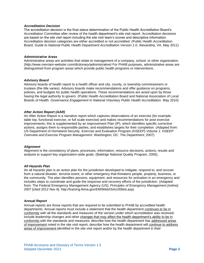#### *Accreditation Decision*

The accreditation decision is the final status determination of the Public Health Accreditation Board's Accreditation Committee after review of the health department's site visit report. Accreditation decisions are based on the site visit report including the site visit team's scores and descriptive information. Accreditation decision categories are either accredited or not accredited. (Public Health Accreditation Board. *Guide to National Public Health Department Accreditation Version 1.0.* Alexandria, VA, May 2011)

#### *Administrative Areas*

Administrative areas are activities that relate to management of a company, school, or other organization. (*http://www.merriam-webster.com/dictionary/administrative)* For PHAB purposes, administrative areas are distinguished from program areas which provide public health programs or interventions.

#### *Advisory Board*

Advisory boards of health report to a health officer and city, county, or township commissioners or trustees (the title varies). Advisory boards make recommendations and offer guidance on programs, policies, and budgets for public health operations. These recommendations are acted upon by those having the legal authority to govern. (Public Health Accreditation Board and National Association of Local Boards of Health. *Governance Engagement in National Voluntary Public Health Accreditation.* May 2010)

#### *After Action Report (AAR)*

An After Action Report is a narrative report which captures observations of an exercise (for example: table top, functional exercise, or full scale exercise) and makes recommendations for post-exercise improvements; this is supplemented by an Improvement Plan (IP), which identifies specific corrective actions, assigns them to responsible parties, and establishes targets for their completion. (Adapted from: US Department of Homeland Security*. Exercise and Evaluation Program (HSEEP) Volume 1: HSEEP Overview and Exercise Program Management.* Washington, DC: The Department; 2007)

#### *Alignment*

Alignment is the consistency of plans, processes, information, resource decisions, actions, results and analysis to support key organization-wide goals. (Baldrige National Quality Program, 2005).

#### *All Hazards Plan*

An all hazards plan is an action plan for the jurisdiction developed to mitigate, respond to, and recover from a natural disaster, terrorist event, or other emergency that threatens people, property, business, or the community. The plan identifies persons, equipment, and resources for activation in an emergency and includes steps to coordinate and guide the response and recovery efforts of the jurisdiction. (Adapted from: The Federal Emergency Management Agency (US). *Principles of Emergency Management [online].*  2007 [cited 2012 Nov 6]. http://training.fema.gov/EMIWeb/IS/is100blst.asp)

#### *Annual Report*

Annual reports are those reports that are required to be submitted to PHAB by accredited health departments. Annual reports must include a statement that the health department continues to be in conformity with all the standards and measures of the version under which accreditation was received; include leadership changes and other changes that may affect the health department's ability to be in conformity with the standards and measures; describe how the health department has addressed areas of improvement noted in the site visit report; describe how the health department will continue to address areas of improvement identified in the site visit report and/or by the health department in their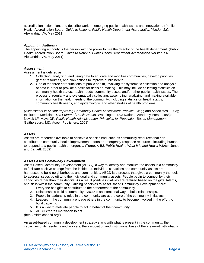accreditation action plan; and describe work on emerging public health issues and innovations. (Public Health Accreditation Board. *Guide to National Public Health Department Accreditation Version 1.0.*  Alexandria, VA, May 2011).

#### *Appointing Authority*

The appointing authority is the person with the power to hire the director of the health department. (Public Health Accreditation Board. *Guide to National Public Health Department Accreditation Version 1.0.*  Alexandria, VA, May 2011).

#### *Assessment*

Assessment is defined as:

- **1.** Collecting, analyzing, and using data to educate and mobilize communities, develop priorities, garner resources, and plan actions to improve public health.
- **2.** One of the three core functions of public health, involving the systematic collection and analysis of data in order to provide a basis for decision-making. This may include collecting statistics on community health status, health needs, community assets and/or other public health issues. The process of regularly and systematically collecting, assembling, analyzing, and making available information on the health needs of the community, including statistics on health status, community health needs, and epidemiologic and other studies of health problems.

(*Assessment in Action: Improving Community Health Assessment Practice,* Clegg and Associates, 2003); Institute of Medicine. *The Future of Public Health.* Washington, DC: National Academy Press, 1988); Novick LF, Mays GP. *Public Health Administration: Principles for Population-Based Management.*  Gaithersburg, MD: Aspen Publishers; 2001)

#### *Assets*

Assets are resources available to achieve a specific end, such as community resources that can contribute to community-health improvement efforts or emergency-response resources, including human, to respond to a public health emergency. (Turnock, BJ. *Public Health: What It Is and How It Works*. Jones and Bartlett. 2009)

#### *Asset Based Community Development*

Asset Based Community Development (ABCD), a way to identify and mobilize the assets in a community to facilitate positive change from the inside out. Individual capacities and community assets are harnessed to build neighborhoods and communities. ABCD is a process that gives a community the tools to address issues by utilizing the individual and community assets. People begin to connect by their capacities rather than their deficits. As a result positive initiatives are realized based on the gifts, talents, and skills within the community. Guiding principles to Asset Based Community Development are:

- 1. Everyone has gifts to contribute to the betterment of the community.
- 2. Relationships build a community. ABCD is an intentional way to build relationships.
- 3. People in leadership roles in the community are at the core of the community initiatives.
- 4. Leaders in the community engage others in the community to become involved in the effort to build capacity.
- 5. It is a way to motivate people to act in behalf of their community.
- 6. ABCD creates motivation to act.

(http://midmichabcd.org/)

An asset-based community development strategy starts with what is present in the community: the capacities of its residents and workers, the association and institutional base of the area–not with what is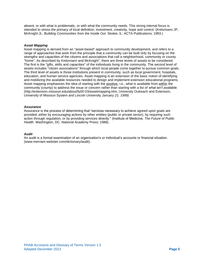absent, or with what is problematic, or with what the community needs. This strong internal focus is intended to stress the primacy of local definition, investment, creativity, hope and control. (Kretzmann JP, McKnight JL. *Building Communities from the Inside Out.* Skokie, IL: ACTA Publications; 1993.)

#### *Asset Mapping*

Asset mapping is derived from an "asset-based" approach to community development, and refers to a range of approaches that work from the principle that a community can be built only by focusing on the strengths and capacities of the citizens and associations that call a neighborhood, community or county "home". As described by Kretzmann and McKnight<sup>1</sup>, there are three levels of assets to be considered. The first is the "gifts, skills and capacities" of the individuals living in the community. The second level of assets includes "citizen associations" through which local people come together to pursue common goals. The third level of assets is those institutions present in community, such as local government, hospitals, education, and human service agencies. Asset mapping is an extension of the basic notion of identifying and mobilizing the available resources needed to design and implement extension educational programs. Asset mapping emphasizes the idea of starting with the positive, i.e., *what is* available from within the community (county) to address the issue or concern rather than starting with a list of *what isn't available*. (http://extension.missouri.edu/about/fy00-03/assetmapping.htm, University Outreach and Extension, University of Missouri System and Lincoln University January *21. 1999)*

#### *Assurance*

Assurance is the process of determining that "services necessary to achieve agreed upon goals are provided, either by encouraging actions by other entities (public or private sector), by requiring such action through regulation, or by providing services directly." (Institute of Medicine, *The Future of Public Health.* Washington, DC: National Academy Press; 1988).

#### *Audit*

An audit is a formal examination of an organization's or individual's accounts or financial situation. [\(www.merriam-webster.com/dictionary/audit\)](http://www.merriam-webster.com/dictionary/audit).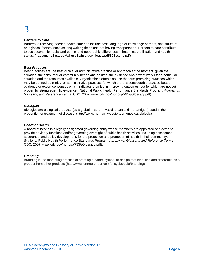## B

#### *Barriers to Care*

Barriers to receiving needed health care can include cost, language or knowledge barriers, and structural or logistical factors, such as long waiting times and not having transportation. Barriers to care contribute to socioeconomic, racial and ethnic, and geographic differences in health care utilization and health status. (http://mchb.hrsa.gov/whusa11/hsu/downloads/pdf/303bcunc.pdf)

#### *Best Practices*

Best practices are the best clinical or administrative practice or approach at the moment, given the situation, the consumer or community needs and desires, the evidence about what works for a particular situation and the resources available. Organizations often also use the term promising practices which may be defined as clinical or administrative practices for which there is considerable practice-based evidence or expert consensus which indicates promise in improving outcomes, but for which are not yet proven by strong scientific evidence. (National Public Health Performance Standards Program, *Acronyms, Glossary, and Reference Terms*, CDC, 2007. [www.cdc.gov/nphpsp/PDF/Glossary.pdf\)](http://www.cdc.gov/nphpsp/PDF/Glossary.pdf)

#### *Biologics*

Biologics are biological products (as a globulin, serum, vaccine, antitoxin, or antigen) used in the prevention or treatment of disease. (http://www.merriam-webster.com/medical/biologic)

#### *Board of Health*

A board of health is a legally designated governing entity whose members are appointed or elected to provide advisory functions and/or governing oversight of public health activities, including assessment, assurance, and policy development, for the protection and promotion of health in their community. (National Public Health Performance Standards Program, *Acronyms, Glossary, and Reference Terms*, CDC, 2007. [www.cdc.gov/nphpsp/PDF/Glossary.pdf\)](http://www.cdc.gov/nphpsp/PDF/Glossary.pdf).

### *Branding*

Branding is the marketing practice of creating a name, symbol or design that identifies and differentiates a product from other products (http://www.entrepreneur.com/encyclopedia/branding)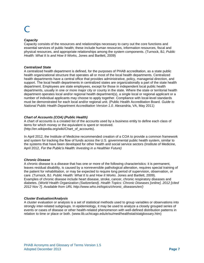#### *Capacity*

Capacity consists of the resources and relationships necessary to carry out the core functions and essential services of public health; these include human resources, information resources, fiscal and physical resources, and appropriate relationships among the system components. (Turnock, BJ, *Public Health: What It Is and How It Works,* Jones and Bartlett, 2009)

#### *Centralized State*

A centralized health department is defined, for the purposes of PHAB accreditation, as a state public health organizational structure that operates all or most of the local health departments. Centralized health departments have a central office that provides administrative, policy, managerial direction, and support. The local health departments in centralized states are organizationally a part of the state health department. Employees are state employees, except for those in independent local public health departments, usually in one or more major city or county in the state. Where the state or territorial health department operates local and/or regional health department(s), a single local or regional applicant or a number of individual applicants may choose to apply together. Compliance with local-level standards must be demonstrated for each local and/or regional unit. (Public Health Accreditation Board. *Guide to National Public Health Department Accreditation Version 1.0.* Alexandria, VA, May 2011)

#### *Chart of Accounts (COA) (Public Health)*

A chart of accounts is a created list of the accounts used by a business entity to define each class of items for which money or the equivalent is spent or received. (http://en.wikipedia.org/wiki/Chart\_of\_accounts).

In April 2012, the Institute of Medicine recommended creation of a COA to provide a common framework and system for tracking the flow of funds across the U.S. governmental public health system, similar to the systems that have been developed for other health and social service sectors (Institute of Medicine, April 2012, *For the Public's Health: Investing in a Healthier Future)*

#### *Chronic Disease*

A chronic disease is a disease that has one or more of the following characteristics: it is permanent, leaves residual disability, is caused by a nonreversible pathological alteration, requires special training of the patient for rehabilitation, or may be expected to require long period of supervision, observation, or care. (Turnock, BJ. *Public Health: What It Is and How It Works*. Jones and Bartlett, 2009). Examples of chronic disease include heart disease, stroke, cancer, chronic respiratory diseases and diabetes. (*World Health Organization (Switzerland). Health Topics: Chronic Diseases [online]. 2012 [cited 2012 Nov 7]. Available from URL http://www.who.int/topics/chronic\_diseases/en/)*

#### *Cluster Evaluation/Analysis*

A cluster evaluation or analysis is a set of statistical methods used to group variables or observations into strongly inter-related subgroups. In epidemiology, it may be used to analyze a closely grouped series of events or cases of disease or other health-related phenomenon with well-defined distribution patterns in relation to time or place or both. [\(www.lib.uchicago.edu/e/su/med/healthstat/statglossary.htm\)](http://www.lib.uchicago.edu/e/su/med/healthstat/statglossary.htm)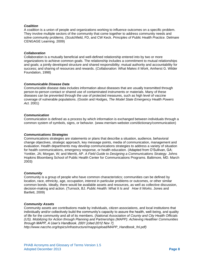#### *Coalition*

A coalition is a union of people and organizations working to influence outcomes on a specific problem. They involve multiple sectors of the community that come together to address community needs and solve community problems. (Scutchfield, FD, and CW Keck. *Principles of Public Health Practice.* Delmare CENGAGE Learning. 2009)

#### *Collaboration*

Collaboration is a mutually beneficial and well-defined relationship entered into by two or more organizations to achieve common goals. The relationship includes a commitment to mutual relationships and goals; a jointly developed structure and shared responsibility; mutual authority and accountability for success; and sharing of resources and rewards. (*Collaboration: What Makes It Work*, Amherst G. Wilder Foundation, 1998)

#### *Communicable Disease Data*

Communicable disease data includes information about diseases that are usually transmitted through person-to-person contact or shared use of contaminated instruments or materials. Many of these diseases can be prevented through the use of protected measures, such as high level of vaccine coverage of vulnerable populations. (Gostin and Hodges, *The Model State Emergency Health Powers Act.* 2001)

#### *Communication*

Communication is defined as a process by which information is exchanged between individuals through a common system of symbols, signs, or behavior. [\(www.merriam-webster.com/dictionary/communication\)](http://www.merriam-webster.com/dictionary/communication)

#### *Communications Strategies*

Communications strategies are statements or plans that describe a situation, audience, behavioral change objectives, strategic approach, key message points, media of communication, management and evaluation. Health departments may develop communications strategies to address a variety of situation for health communications, emergency response, or health education. (Adapted from O'Sullivan, GA; Yonkler, JA; Morgan, W; and Merritt, AP. *A Field Guide to Designing a Communications Strategy.* Johns Hopkins Bloomberg School of Public Health Center for Communications Programs. Baltimore, MD. March 2003)

#### *Community*

Community is a group of people who have common characteristics; communities can be defined by location, race, ethnicity, age, occupation, interest in particular problems or outcomes, or other similar common bonds. Ideally, there would be available assets and resources, as well as collective discussion, decision-making and action. (Turnock, BJ. *Public Health: What It Is and How It Works*. Jones and Bartlett, 2009)

#### *Community Assets*

Community assets are contributions made by individuals, citizen associations, and local institutions that individually and/or collectively build the community's capacity to assure the health, well-being, and quality of life for the community and all of its members. (*National Association of County and City Health Officials (US). Mobilizing for Action through Planning and Partnerships (MAPP): Achieving Healthier Communities through MAPP, A User's Handbook. 2001 [cited 2012 Nov 7].* 

*http://www.naccho.org/topics/infrastructure/mapp/upload/MAPP\_Handbook\_fnl.pdf)*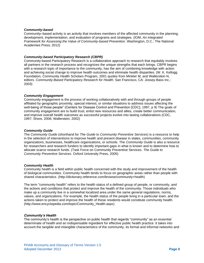#### *Community-based*

Community–based activity is an activity that involves members of the affected community in the planning, development, implementation, and evaluation of programs and strategies. (IOM, *An Integrated Framework for Assessing the Value of Community-based Prevention*. Washington, D.C.: The National Academies Press; 2012)

#### *Community-based Participatory Research (CBPR)*

Community-based Participatory Research is a collaborative approach to research that equitably involves all partners in the research process and recognizes the unique strengths that each brings. CBPR begins with a research topic of importance to the community, has the aim of combining knowledge with action and achieving social change to improve health outcomes and eliminate health disparities. (W. K. Kellogg Foundation, Community Health Scholars Program, 2001 quotes from Minkler M, and Wallerstein N, editors. *Community-Based Participatory Research for Health.* San Francisco, CA: Jossey-Bass Inc.; 2003)

#### *Community Engagement*

Community engagement is the process of working collaboratively with and through groups of people affiliated by geographic proximity, special interest, or similar situations to address issues affecting the well-being of those people" (Centers for Disease Control and Prevention [CDC], 1997, p 9) The goals of community engagement are to build trust, enlist new resources and allies, create better communication, and improve overall health outcomes as successful projects evolve into lasting collaborations (CDC, 1997; Shore, 2006; Wallerstein, 2002)

#### *Community Guide*

The *Community Guide* (shorthand for *The Guide to Community Preventive Services*) is a resource to help in the selection of interventions to improve health and prevent disease in states, communities, community organizations, businesses, healthcare organizations, or schools. The *Community Guide* is also a resource for researchers and research funders to identify important gaps in what is known and to determine how to allocate scarce research funds. (Task Force on Community Preventive Services. *The Guide to Community Preventive Services*. Oxford University Press, 2005)

#### *Community Health*

Community health is a field within public health concerned with the study and improvement of the health of biological communities. Community health tends to focus on geographic areas rather than people with shared characteristics. (http://dictionary.reference.com/browse/community+health)

The term "community health" refers to the health status of a defined group of people, or community, and the actions and conditions that protect and improve the health of the community. Those individuals who make up a community live in a somewhat localized area under the same general regulations, norms, values, and organizations. For example, the health status of the people living in a particular town, and the actions taken to protect and improve the health of these residents would constitute community health. (http://www.encyclopedia.com/topic/Community\_Health.aspx)

#### *Community's Health*

The community's health is the perspective on public health that regards "community" as an essential determinate of health and an indispensable ingredient for effective public health practice. It takes into account the tangible and intangible characteristics of the community, its formal and informal networks and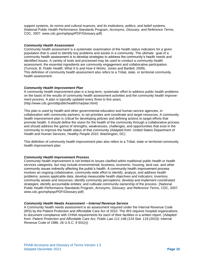support systems, its norms and cultural nuances, and its institutions, politics, and belief systems. (National Public Health Performance Standards Program, *Acronyms, Glossary, and Reference Terms*, CDC, 2007. [www.cdc.gov/nphpsp/PDF/Glossary.pdf\)](http://www.cdc.gov/nphpsp/PDF/Glossary.pdf)

#### *Community Health Assessment*

Community health assessment is a systematic examination of the health status indicators for a given population that is used to identify key problems and assets in a community. The ultimate goal of a community health assessment is to develop strategies to address the community's health needs and identified issues. A variety of tools and processed may be used to conduct a community health assessment; the essential ingredients are community engagement and collaborative participation. (Turnock, B. *Public Health: What It Is and How It Works.* Jones and Bartlett, 2009). This definition of community health assessment also refers to a Tribal, state, or territorial community health assessment.

#### *Community Health Improvement Plan*

A community health improvement plan is a long-term, systematic effort to address public health problems on the basis of the results of community health assessment activities and the community health improvement process. A plan is typically updated every three to five years. (http://www.cdc.gov/stltpublichealth/cha/plan.html)

This plan is used by health and other governmental education and human service agencies, in collaboration with community partners, to set priorities and coordinate and target resources. A community health improvement plan is critical for developing policies and defining actions to target efforts that promote health. It should define the vision for the health of the community through a collaborative process and should address the gamut of strengths, weaknesses, challenges, and opportunities that exist in the community to improve the health status of that community (Adapted from: United States Department of Health and Human Services, *Healthy People 2010.* Washington, DC)

This definition of community health improvement plan also refers to a Tribal, state or territorial community health improvement plan.

### *Community Health Improvement Process*

Community health improvement is not limited to issues clarified within traditional public health or health services categories, but may include environmental, business, economic, housing, land use, and other community issues indirectly affecting the public's health. A community health improvement process involves an ongoing collaborative, community-wide effort to identify, analyze, and address health problems; assess applicable data; develop measurable health objectives and indicators; inventory community assets and resources; identify community perceptions; develop and implement coordinated strategies; identify accountable entities; and cultivate community ownership of the process. (National Public Health Performance Standards Program, *Acronyms, Glossary, and Reference Terms*, CDC, 2007. [www.cdc.gov/nphpsp/PDF/Glossary.pdf\)](http://www.cdc.gov/nphpsp/PDF/Glossary.pdf)

#### *Community Health Needs Assessment – Internal Revenue Service*

A Community health needs assessment is an assessment required under the Internal Revenue Code (IRS) by the Patient Protection and Affordable Care Act of 2010. The IRS requires hospital organizations to document compliance with CHNA requirements for each of their facilities in a written report. (Adapted from: *Patient Protection and Affordable Care Act, Public Law 111-148 (124 Stat. 119 (2010);* Internal Revenue Code of 1986, 26 U.S.C. § 501(r))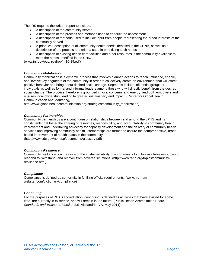The IRS requires the written report to include:

- A description of the community served
- A description of the process and methods used to conduct the assessment
- A description of methods used to include input from people representing the broad interests of the community served
- A prioritized description of all community health needs identified in the CHNA, as well as a description of the process and criteria used in prioritizing such needs
- A description of existing health care facilities and other resources in the community available to meet the needs identified in the CHNA.

[\(www.irs.gov/pub/irs-drop/n-10-39.pdf\)](http://www.irs.gov/pub/irs-drop/n-10-39.pdf)

### *Community Mobilization*

Community mobilization is a dynamic process that involves planned actions to reach, influence, enable, and involve key segments of the community in order to collectively create an environment that will effect positive behavior and bring about desired social change. Segments include influential groups or individuals as well as formal and informal leaders among those who will directly benefit from the desired social change. The process therefore is grounded in local concerns and energy, and both empowers and ensures local ownership, leading to greater sustainability and impact. (Center for Global Health Communication and Marketing,

http://www.globalhealthcommunication.org/strategies/community\_mobilization)

#### *Community Partnerships*

Community partnerships are a continuum of relationships between and among the LPHS and its constituents that foster the sharing of resources, responsibility, and accountability in community health improvement and undertaking advocacy for capacity development and the delivery of community health services and improving community health. Partnerships are formed to assure the comprehensive, broadbased improvement of health status in the community.

(http://www.cdc.gov/nphpsp/documents/glossary.pdf)

#### *Community Resilience*

Community resilience is a measure of the sustained ability of a community to utilize available resources to respond to, withstand, and recover from adverse situations. (http://www.rand.org/topics/communityresilience.html)

#### *Compliance*

Compliance is defined as conformity in fulfilling official requirements. [\(www.merriam](http://www.merriam-webster.com/dictionary/compliance)[webster.com/dictionary/compliance\)](http://www.merriam-webster.com/dictionary/compliance)

#### *Continuing*

For the purposes of PHAB accreditation, continuing is defined as activities that have existed for some time, are currently in existence, and will remain in the future. (Public Health Accreditation Board. *Standards and Measures Version 1.0.* Alexandria, VA, May 2011)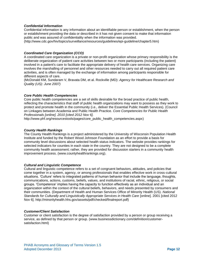#### *Confidential Information*

Confidential information is any information about an identifiable person or establishment, when the person or establishment providing the data or described in it has not given consent to make that information public and was assured of confidentiality when the information was provided. (http://www.cdc.gov/hiv/topics/surveillance/resources/guidelines/epi-guideline/chapter5.htm)

#### *Coordinated Care Organization (CCO)*

A coordinated care organization is a private or non-profit organization whose primary responsibility is the deliberate organization of patient care activities between two or more participants (including the patient) involved in a patient's care to facilitate the appropriate delivery of health care services. Organizing care involves the marshalling of personnel and other resources needed to carry out all required patient care activities, and is often managed by the exchange of information among participants responsible for different aspects of care.

(McDonald KM, Sundaram V, Bravata DM, et al. Rockville (MD): *[Agency for Healthcare Research and](http://www.ahrq.gov/)  [Quality \(US\):](http://www.ahrq.gov/) June 2007)*

#### *Core Public Health Competencies*

Core public health competencies are a set of skills desirable for the broad practice of public health, reflecting the characteristics that staff of public health organizations may want to possess as they work to protect and promote health in the community (i.e., deliver the Essential Public Health Services). (Council on Linkages between Academia and Public Health Practice*. Core Competencies for Public Health Professionals [online]. 2010 [cited 2012 Nov 6].* 

http://www.phf.org/resourcestools/pages/core\_public\_health\_competencies.aspx)

#### *County Health Rankings*

The County Health Rankings is a project administered by the University of Wisconsin Population Health Institute and funded by the Robert Wood Johnson Foundation as an effort to provide a basis for community level discussions about selected health status indicators. The website provides rankings for selected indicators for counties in each state in the country. They are not designed to be a complete community health assessment; rather, they are provided for discussion starters in a community health improvement process. [\(www.countyhealthrankings.org\)](http://www.countyhealthrankings.org/).

#### *Cultural and Linguistic Competence*

Cultural and linguistic competence refers to a set of congruent behaviors, attitudes, and policies that come together in a system, agency, or among professionals that enables effective work in cross-cultural situations. 'Culture' refers to integrated patterns of human behavior that include the language, thoughts, communications, actions, customs, beliefs, values, and institutions of racial, ethnic, religious, or social groups. 'Competence' implies having the capacity to function effectively as an individual and an organization within the context of the cultural beliefs, behaviors, and needs presented by consumers and their communities. (Department of Health and Human Services Office of Minority Health (US). *National Standards for Culturally and Linguistically Appropriate Services in Health Care* [online]. 2001 [cited 2012 Nov 6]. http://minorityhealth.hhs.gov/assets/pdf/checked/finalreport.pdf)

#### *Customer/Client Satisfaction*

Customer or client satisfaction is the degree of satisfaction provided by a person or group receiving a service, as defined by that person or group. [\(www.businessdictionary.com/definition/customer](http://www.businessdictionary.com/definition/customer-satisfaction.html)[satisfaction.html\)](http://www.businessdictionary.com/definition/customer-satisfaction.html)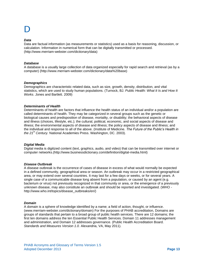#### *Data*

Data are factual information (as measurements or statistics) used as a basis for reasoning, discussion, or calculation. Information in [numerical](http://www.merriam-webster.com/dictionary/numerical) form that can be digitally transmitted or processed. [\(http://www.merriam-webster.com/dictionary/data\)](http://www.merriam-webster.com/dictionary/data)

#### *Database*

A database is a usually large collection of data organized especially for rapid search and retrieval (as by a computer) (http://www.merriam-webster.com/dictionary/data%20base)

#### *Demographics*

Demographics are characteristic related data, such as size, growth, density, distribution, and vital statistics, which are used to study human populations. (Turnock, BJ. *Public Health: What It Is and How It Works*. Jones and Bartlett. 2009)

#### *Determinants of Health*

Determinants of health are factors that influence the health status of an individual and/or a population are called determinants of health. They may be categorized in several groups such as the genetic or biological causes and predisposition of disease, mortality, or disability; the behavioral aspects of disease and illness (choices, lifestyle, etc.); the cultural, political, economic, and social aspects of disease and illness; the environmental aspects of disease and illness; the policy aspects of disease and illness; and the individual and response to all of the above. (Institute of Medicine. *The Future of the Public's Health in the 21st Century.* National Academies Press. Washington, DC. 2003).

#### *Digital Media*

Digital media is digitized [content](http://www.businessdictionary.com/definition/content.html) (text, [graphics,](http://www.businessdictionary.com/definition/graphic.html) audio, and [video\)](http://www.businessdictionary.com/definition/video.html) that can be transmitted over [internet](http://www.businessdictionary.com/definition/internet.html) or [computer networks.](http://www.businessdictionary.com/definition/computer-network.html)(http://www.businessdictionary.com/definition/digital-media.html)

#### *Disease Outbreak*

A disease outbreak is the occurrence of cases of disease in excess of what would normally be expected in a defined community, geographical area or season. An outbreak may occur in a restricted geographical area, or may extend over several countries. It may last for a few days or weeks, or for several years. A single case of a communicable disease long absent from a population, or caused by an agent (e.g. bacterium or virus) not previously recognized in that community or area, or the emergence of a previously unknown disease, may also constitute an outbreak and should be reported and investigated. (WHO http://www.who.int/topics/disease\_outbreaks/en/)

#### *Domain*

A domain is a sphere of knowledge identified by a name; a field of action, thought, or influence. [\(www.merriam-webster.com/dictionary/domain\)](http://www.merriam-webster.com/dictionary/domain) For the purposes of PHAB accreditation, Domains are groups of standards that pertain to a broad group of public health services. There are 12 domains; the first ten domains address the ten Essential Public Health Services. Domain 11 addresses management and administration, and Domain 12 addresses governance. (Public Health Accreditation Board. *Standards and Measures Version 1.0.* Alexandria, VA, May 2011).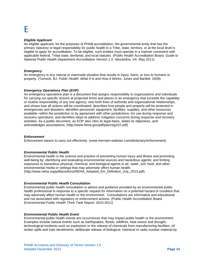## F

#### *Eligible Applicant*

An eligible applicant, for the purposes of PHAB accreditation, the governmental entity that has the primary statutory or legal responsibility for public health in a Tribe, state, territory, or at the local level is eligible to apply for accreditation. To be eligible, such entities must operate in a manner consistent with applicable federal, Tribal state, territorial, and local statutes. (Public Health Accreditation Board. *Guide to National Public Health Department Accreditation Version 1.0.* Alexandria, VA. May 2011)

#### *Emergency*

An emergency is any natural or manmade situation that results in injury, harm, or loss to humans or property*.* (Turnock, BJ. *Public Health: What It Is and How It Works*. Jones and Bartlett. 2009)

#### *Emergency Operations Plan (EOP)*

An emergency operations plan is a document that assigns responsibility to organizations and individuals for carrying out specific actions at projected times and places in an emergency that exceeds the capability or routine responsibility of any one agency; sets forth lines of authority and organizational relationships, and shows how all actions will be coordinated; describes how people and property will be protected in emergencies and disasters; identifies personnel, equipment, facilities, supplies, and other resources available--within the jurisdiction or by agreement with other jurisdictions--for use during response and recovery operations; and identifies steps to address mitigation concerns during response and recovery activities. As a public document, an EOP also cites its legal basis, states its objectives, and acknowledges assumptions. (http://www.fema.gov/pdf/plan/slg101.pdf)

#### *Enforcement*

Enforcement means to carry out effectively. [\(www.merriam-webster.com/dictionary/enforcement\)](http://www.merriam-webster.com/dictionary/enforcement)

#### *Environmental Public Health*

Environmental health is the science and practice of preventing human injury and illness and promoting well-being by: identifying and evaluating environmental sources and hazardous agents; and limiting exposures to hazardous physical, chemical, and biological agents in air, water, soil, food, and other environmental media or settings that may adversely affect human health. (http://www.neha.org/pdf/positions/NEHA\_Adopted\_EH\_Definition\_July\_2013.pdf)

#### *Environmental Public Health Consultation*

Environmental public health consultation is advice and guidance provided by an environmental public health professional in response to a specific request for information on a potential hazard or condition that may adversely affect human health or the environment. Consultations are informative and educational and not associated with regulatory or enforcement actions. (Public Health Accreditation Board. *Environmental Public Health Think Tank Report.* 2010-2011)

#### *Environmental Public Health Event*

Environmental public health events are occurrences that may impact public health or the environment. Examples include natural events such as earthquakes, floods, wildfires, heat waves and drought; technological incidents such as explosions or the release of chemicals from manufacturing facilities, oil tanker spills and train derailments; deliberate release of biological, chemical or radio-nuclear material by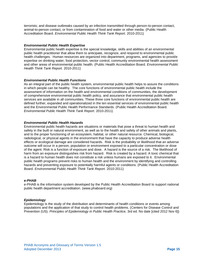terrorists; and disease outbreaks caused by an infection transmitted through person-to-person contact, animal-to-person contact, or from contamination of food and water or other media. (Public Health Accreditation Board. *Environmental Public Health Think Tank Report.* 2010-2011)

#### *Environmental Public Health Expertise*

Environmental public health expertise is the special knowledge, skills and abilities of an environmental public health practitioner that allow them to anticipate, recognize, and respond to environmental public health challenges. Human resources are organized into department, programs, and agencies to provide expertise on drinking water, food protection, vector control, community environmental health assessment and other areas of environmental public health. (Public Health Accreditation Board. *Environmental Public Health Think Tank Report.* 2010-2011)

#### *Environmental Public Health Functions*

As an integral part of the public health system, environmental public health helps to assure the conditions in which people can be healthy. The core functions of environmental public health include the assessment of information on the health and environmental conditions of communities, the development of comprehensive environmental public health policy*,* and assurance that environmental public health services are available in all communities. These three core functions of environmental public health are defined further, expanded and operationalized in the ten essential services of environmental public health and the Environmental Public Health Performance Standards. (Public Health Accreditation Board. *Environmental Public Health Think Tank Report.* 2010-2011)

#### *Environmental Public Health Hazards*

Environmental public health hazards are situations or materials that pose a threat to human health and safety in the built or natural environment, as well as to the health and safety of other animals and plants, and to the proper functioning of an ecosystem, habitat, or other natural resource. Chemical, biological, radiological, or physical agents in the environment that have the capacity to produce adverse health effects or ecological damage are considered hazards. Risk is the probability or likelihood that an adverse outcome will occur in a person, population or environment exposed to a particular concentration or dose of the agent. Risk is a function of exposure and dose. A hazard is the source of a risk. The likelihood of harm from an exposure distinguishes risk from hazard. Risk is created by a hazard. A toxic chemical that is a hazard to human health does not constitute a risk unless humans are exposed to it. Environmental public health programs prevent risks to human health and the environment by identifying and controlling hazards and preventing exposure to potentially harmful agents or conditions. (Public Health Accreditation Board. *Environmental Public Health Think Tank Report.* 2010-2011)

#### *e-PHAB*

e-PHAB is the information system developed by the Public Health Accreditation Board to support national public health department accreditation. [\(www.phaboard.org\)](http://www.phaboard.org/)

#### *Epidemiology*

Epidemiology is the study of the distribution and determinants of health conditions or events among populations and the application of that study to control health problems. (Centers for Disease Control and Prevention (US). *Principles of Epidemiology in Public Health Practice,* 3rd ed. No date [cited 2012 Nov 6])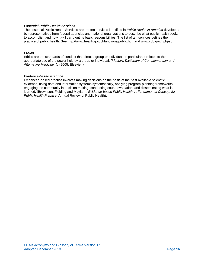#### *Essential Public Health Services*

The essential Public Health Services are the ten services identified in *Public Health in America* developed by representatives from federal agencies and national organizations to describe what public health seeks to accomplish and how it will carry out its basic responsibilities. The list of ten services defines the practice of public health. See http://www.health.gov/phfunctions/public.htm and www.cdc.gov/nphpsp.

#### *Ethics*

Ethics are the standards of conduct that direct a group or individual. In particular, it relates to the appropriate use of the power held by a group or individual. (*Mosby's Dictionary of Complementary and Alternative Medicine.* (c) 2005, Elsevier.)

#### *Evidence-based Practice*

Evidenced-based practice involves making decisions on the basis of the best available scientific evidence, using data and information systems systematically, applying program-planning frameworks, engaging the community in decision making, conducting sound evaluation, and disseminating what is learned. (Brownson, Fielding and Maylahn. *Evidence-based Public Health: A Fundamental Concept for Public Health Practice.* Annual Review of Public Health).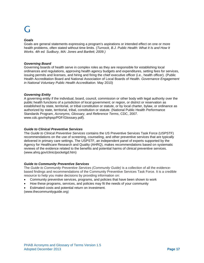## **C** -

#### *Goals*

Goals are general statements expressing a program's aspirations or intended effect on one or more health problems, often stated without time limits. (*Turnock, B.J. Public Health: What It Is and How It Works. 4th ed. Sudbury, MA: Jones and Bartlett; 2009.)*

#### *Governing Board*

Governing boards of health serve in complex roles as they are responsible for establishing local ordinances and regulations, approving health agency budgets and expenditures, setting fees for services, issuing permits and licenses, and hiring and firing the chief executive officer (i.e., health officer). (Public Health Accreditation Board and National Association of Local Boards of Health. *Governance Engagement in National Voluntary Public Health Accreditation.* May 2010)

#### *Governing Entity*

A governing entity if the individual, board, council, commission or other body with legal authority over the public health functions of a jurisdiction of local government; or region, or district or reservation as established by state, territorial, or tribal constitution or statute, or by local charter, bylaw, or ordinance as authorized by state, territorial, tribal, constitution or statute. (National Public Health Performance Standards Program, *Acronyms, Glossary, and Reference Terms*, CDC, 2007. [www.cdc.gov/nphpsp/PDF/Glossary.pdf\)](http://www.cdc.gov/nphpsp/PDF/Glossary.pdf).

#### *Guide to Clinical Preventive Services*

The *Guide to Clinical Preventive Services* contains the US Preventive Services Task Force (USPSTF) recommendations on the use of screening, counseling, and other preventive services that are typically delivered in primary care settings. The USPSTF, an independent panel of experts supported by the Agency for Healthcare Research and Quality (AHRQ), makes recommendations based on systematic reviews of the evidence related to the benefits and potential harms of clinical preventive services. [\(www.ahrq.gov/clinic/pocketgd.htm\)](http://www.ahrq.gov/clinic/pocketgd.htm)

### *Guide to Community Preventive Services*

The Guide to Community Preventive Services (Community Guide) is a collection of all the evidencebased findings and recommendations of the Community Preventive Services Task Force. It is a credible resource to help you make decisions by providing information on:

- Community preventive services, programs, and policies that have been shown to work
- How these programs, services, and policies may fit the needs of your community
- Estimated costs and potential return on investment.

(www.thecommunityguide.org)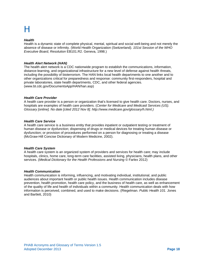## Н

#### *Health*

Health is a dynamic state of complete physical, mental, spiritual and social well-being and not merely the absence of disease or infirmity. (World Health Organization (Switzerland). *101st Session of the WHO Executive Board, Resolution* EB101.R2. Geneva, 1998.)

#### *Health Alert Network (HAN)*

The health alert network is a CDC nationwide program to establish the communications, information, distance-learning, and organizational infrastructure for a new level of defense against health threats, including the possibility of bioterrorism. The HAN links local health departments to one another and to other organizations critical for preparedness and response: community first-responders, hospital and private laboratories, state health departments, CDC, and other federal agencies. (www.bt.cdc.gov/DocumentsApp/HAN/han.asp)

#### *Health Care Provider*

A health care provider is a person or organization that's licensed to give health care. Doctors, nurses, and hospitals are examples of health care providers. (*Center for Medicare and Medicaid Services (US). Glossary [online]. No date [cited 2012 Nov 8]. http://www.medicare.gov/glossary/h.html.)*

#### *Health Care Service*

A health care service is a business entity that provides inpatient or outpatient testing or treatment of human disease or dysfunction; dispensing of drugs or medical devices for treating human disease or dysfunction; or provision of procedures performed on a person for diagnosing or treating a disease (McGraw-Hill Concise Dictionary of Modern Medicine, 2002).

#### *Health Care System*

A health care system is an organized system of providers and services for health care; may include hospitals, clinics, home care, long-term care facilities, assisted living, physicians, health plans, and other services. (*Medical Dictionary for the Health Professions and Nursing* © Farlex 2012)

#### *Health Communication*

Health communication is informing, influencing, and motivating individual, institutional, and public audiences about important health or public health issues. Health communication includes disease prevention, health promotion, health care policy, and the business of health care, as well as enhancement of the quality of life and health of individuals within a community. Health communication deals with how information is perceived, combined, and used to make decisions. (Riegelman. *Public Health 101.* Jones and Bartlett, 2010)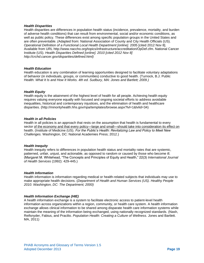#### *Health Disparities*

Health disparities are differences in population health status (incidence, prevalence, mortality, and burden of adverse health conditions) that can result from environmental, social and/or economic conditions, as well as public policy. These differences exist among specific population groups in the United States and are often preventable. *(*Adapted from: National Association of County and City Health Officials (US). *Operational Definition of a Functional Local Health Department [online].* 2005 [cited 2012 Nov 8]. Available from URL http://www.naccho.org/topics/infrastructure/accreditation/OpDef.cfm. National Cancer Institute (US). *Health Disparities Defined [online]. 2010 [cited 2012 Nov 8] http://crchd.cancer.gov/disparities/defined.html)*

#### *Health Education*

Health education is any combination of learning opportunities designed to facilitate voluntary adaptations of behavior (in individuals, groups, or communities) conductive to good health. (Turnock, B.J. Public Health: *What It Is and How It Works. 4th ed. Sudbury, MA: Jones and Bartlett; 2009.)*

#### *Health Equity*

Health equity is the attainment of the highest level of health for all people. Achieving health equity requires valuing everyone equally with focused and ongoing societal efforts to address avoidable inequalities, historical and contemporary injustices, and the elimination of health and healthcare disparities. [\(http://minorityhealth.hhs.gov/npa/templates/browse.aspx?lvl=1&lvlid=34\)](http://minorityhealth.hhs.gov/npa/templates/browse.aspx?lvl=1&lvlid=34)

#### *Health in all Policies*

Health in all policies is an approach that rests on the assumption that health is fundamental to every sector of the economy and that every policy—large and small—should take into consideration its effect on health. (Institute of Medicine (US). *For the Public's Health: Revitalizing Law and Policy to Meet New Challenges.* Washington, DC: National Academies Press; 2012.)

#### *Health Inequity*

Health inequity refers to differences in population health status and mortality rates that are systemic, patterned, unfair, unjust, and actionable, as opposed to random or caused by those who become ill. (Margaret M. Whitehead, "The Concepts and Principles of Equity and Health," 22(3) *International Journal of Health Services* (1992): 429-445.)

#### *Health Information*

Health information is information regarding medical or health-related subjects that individuals may use to make appropriate health decisions. (*Department of Health and Human Services (US). Healthy People 2010. Washington, DC: The Department; 2000)*

#### *Health Information Exchange (HIE)*

A health information exchange is a system to facilitate electronic access to patient-level health information across organizations within a region, community, or health care system. A health information exchange allows clinical information to be shared among disparate health care information systems while maintain the meaning of the information being exchanged, using nationally recognized standards. (Nash, Reifsnyder, Fabius, and Pracilio. *Population Health: Creating a Culture of Wellness.* Jones and Bartlett. MA, 2011)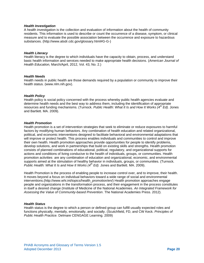#### *Health Investigation*

A health investigation is the collection and evaluation of information about the health of community residents. This information is used to describe or count the occurrence of a disease, symptom, or clinical measure and to evaluate the possible association between the occurrence and exposure to hazardous substances. (http://www.atsdr.cdc.gov/glossary.html#G-G-)

#### *Health Literacy*

Health literacy is the degree to which individuals have the capacity to obtain, process, and understand basic health information and services needed to make appropriate health decisions. (*American Journal of Health Education,* March/April, 2012, Vol. 43, No. 2.)

#### *Health Needs*

Health needs in public health are those demands required by a population or community to improve their health status. [\(www.nlm.nih.gov\)](http://www.nlm.nih.gov/).

#### *Health Policy*

Health policy is social policy concerned with the process whereby public health agencies evaluate and determine health needs and the best way to address them, including the identification of appropriate resources and funding mechanisms. (Turnock. *Public Health: What It Is and How It Works (4th Ed).* Jones and Bartlett. MA. 2009).

#### *Health Promotion*

Health promotion is a set of intervention strategies that seek to eliminate or reduce exposures to harmful factors by modifying human behaviors. Any combination of health education and related organizational, political, and economic interventions designed to facilitate behavioral and environmental adaptations that will improve or protect health. This process enables individuals and communities to control and improve their own health. Health promotion approaches provide opportunities for people to identify problems, develop solutions, and work in partnerships that build on existing skills and strengths. Health promotion consists of planned combinations of educational, political, regulatory, and organizational supports for actions and conditions of living conducive to the health of individuals, groups, or communities. Health promotion activities are any combination of education and organizational, economic, and environmental supports aimed at the stimulation of healthy behavior in individuals, groups, or communities. (Turnock. *Public Health: What It Is and How It Works (4th Ed).* Jones and Bartlett. MA. 2009).

Health Promotion is the process of enabling people to increase control over, and to improve, their health. It moves beyond a focus on individual behaviors toward a wide range of social and environmental interventions.(http://www.whi.int/topics/health\_promotion/en/) Health promotion approaches engage people and organizations in the transformation process, and their engagement in the process constitutes in itself a desired change (Institute of Medicine of the National Academies. *An Integrated Framework for Assessing the Value of Community-based Prevention*. The National Academies Press. 2012).

#### *Health Status*

Health status is the degree to which a person or defined group can fulfill usually expected roles and functions physically, mentally, emotionally, and socially. (Scutchfield, FD, and CW Keck. *Principles of Public Health Practice.* Delmare CENGAGE Learning. 2009)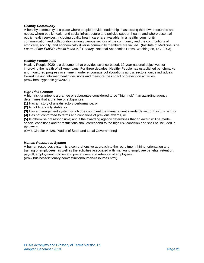#### *Healthy Community*

A healthy community is a place where people provide leadership in assessing their own resources and needs, where public health and social infrastructure and policies support health, and where essential public health services, including quality health care, are available. In a healthy community, communication and collaboration among various sectors of the community and the contributions of ethnically, socially, and economically diverse community members are valued. (Institute of Medicine. *The Future of the Public's Health in the 21st Century.* National Academies Press. Washington, DC. 2003).

#### *Healthy People 2020*

Healthy People 2020 is a document that provides science-based, 10-year national objectives for improving the health of all Americans. For three decades, Healthy People has established benchmarks and monitored progress over time in order encourage collaborations across sectors; guide individuals toward making informed health decisions and measure the impact of prevention activities. [\(www.healthypeople.gov/2020\)](http://www.healthypeople.gov/2020)

#### *High Risk Grantee*

A high risk grantee is a grantee or subgrantee considered to be ``high risk'' if an awarding agency determines that a grantee or subgrantee:

**(1)** Has a history of unsatisfactory performance, or

**(2)** Is not financially stable, or

**(3)** Has a management system which does not meet the management standards set forth in this part, or **(4)** Has not conformed to terms and conditions of previous awards, or

**(5)** Is otherwise not responsible; and if the awarding agency determines that an award will be made, special conditions and/or restrictions shall correspond to the high risk condition and shall be included in

the award

(OMB Circular A-128, "Audits of State and Local Governments*)*

#### *Human Resources System*

A human resources system is a comprehensive approach to the recruitment, hiring, orientation and training of employees, as well as the activities associated with managing employee benefits, retention, payroll, employment policies and procedures, and retention of employees. [\(www.businessdictionary.com/definition/human-resources.html\)](http://www.businessdictionary.com/definition/human-resources.html)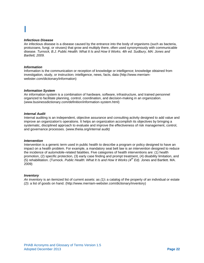#### *Infectious Disease*

An infectious disease is a disease caused by the entrance into the body of organisms (such as bacteria, protozoans, fungi, or viruses) that grow and multiply there, often used synonymously with communicable disease. *Turnock, B.J. Public Health: What It Is and How It Works. 4th ed. Sudbury, MA: Jones and Bartlett; 2009.*

#### *Information*

Information is the communication or reception of knowledge or intelligence; knowledge obtained from investigation, study, or instruction**:** intelligence, news, facts, data (http://www.merriamwebster.com/dictionary/information)

#### *Information System*

An information system is a combination of hardware, software, infrastructure, and trained personnel organized to facilitate planning, control, coordination, and decision-making in an organization. [\(www.businessdictionary.com/definition/information-system.html\)](http://www.businessdictionary.com/definition/information-system.html)

#### *Internal Audit*

Internal auditing is an independent, objective assurance and consulting activity designed to add value and improve an organization's operations. It helps an organization accomplish its objectives by bringing a systematic, disciplined approach to evaluate and improve the effectiveness of risk management, control, and governance processes. [\(www.theiia.org/internal audit](http://www.theiia.org/internal%20audit)*)*

#### *Intervention*

Intervention is a generic term used in public health to describe a program or policy designed to have an impact on a health problem. For example, a mandatory seat belt law is an intervention designed to reduce the incidence of automobile-related fatalities. Five categories of health interventions are: (1) health promotion, (2) specific protection, (3) early case finding and prompt treatment, (4) disability limitation, and (5) rehabilitation. (Turnock. *Public Health: What It Is and How It Works (4th Ed).* Jones and Bartlett. MA. 2009)

#### *Inventory*

*A*n inventory is an itemized list of current assets: as *(1)***:** a catalog of the property of an individual or estate *(2)***:** a list of goods on hand. [\(http://www.merriam-webster.com/dictionary/inventory\)](http://www.merriam-webster.com/dictionary/inventory)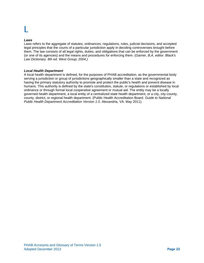#### *Laws*

Laws refers to the aggregate of statutes, ordinances, regulations, rules, judicial decisions, and accepted legal principles that the courts of a particular jurisdiction apply in deciding controversies brought before them. The law consists of all legal rights, duties, and obligations that can be enforced by the government (or one of its agencies) and the means and procedures for enforcing them. (*Garner, B.A. editor. Black's Law Dictionary. 8th ed. West Group; 2004.)*

#### *Local Health Department*

A local health department is defined, for the purposes of PHAB accreditation, as the governmental body serving a jurisdiction or group of jurisdictions geographically smaller than a state and recognized as having the primary statutory authority to promote and protect the public's health and prevent disease in humans. This authority is defined by the state's constitution, statute, or regulations or established by local ordinance or through formal local cooperative agreement or mutual aid. The entity may be a locally governed health department, a local entity of a centralized state health department, or a city, city-county, county, district, or regional health department. (Public Health Accreditation Board. *Guide to National Public Health Department Accreditation Version 1.0*. Alexandria, VA. May 2011).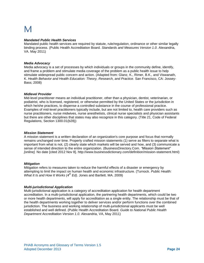## M

#### *Mandated Public Health Services*

Mandated public health services are required by statute, rule/regulation, ordinance or other similar legally binding process. (Public Health Accreditation Board. *Standards and Measures Version 1.0*. Alexandria, VA. May 2011)

#### *Media Advocacy*

Media advocacy is a set of processes by which individuals or groups in the community define, identify, and frame a problem and stimulate media coverage of the problem as a public health issue to help stimulate widespread public concern and action. (Adapted from: Glanz, K., Rimer, B.K., and Viswanath, K. *Health Behavior and Health Education: Theory, Research, and Practice.* San Francisco, CA: Jossey-Bass; 2008)

#### *Midlevel Provider*

Mid-level practitioner means an individual practitioner, other than a physician, dentist, veterinarian, or podiatrist, who is licensed, registered, or otherwise permitted by the United States or the jurisdiction in which he/she practices, to dispense a controlled substance in the course of professional practice. Examples of mid-level practitioners typically include, but are not limited to, health care providers such as nurse practitioners, nurse midwives, nurse anesthetists, clinical nurse specialists and physician assistants but there are other disciplines that states may also recognize in this category. (Title 21, Code of Federal Regulations, Section 1300.01(b28))

#### *Mission Statement*

A mission statement is a written declaration of an organization's core purpose and focus that normally remains unchanged over time. Properly crafted mission statements (1) serve as filters to separate what is important from what is not, (2) clearly state which markets will be served and how, and (3) communicate a sense of intended direction to the entire organization. (BusinessDirectory.Com*. "Mission Statement" [online].* No date [cited 2012 Nov 8]. http://www.businessdictionary.com/definition/mission-statement.html)

#### *Mitigation*

Mitigation refers to measures taken to reduce the harmful effects of a disaster or emergency by attempting to limit the impact on human health and economic infrastructure. (Turnock. *Public Health: What It Is and How It Works (4th Ed).* Jones and Bartlett. MA. 2009)

#### *Multi-jurisdictional Application*

Multi-jurisdictional application is a category of accreditation application for health department accreditation. In a multi-jurisdictional application, the partnering health departments, which could be two or more health departments, will apply for accreditation as a single entity. The relationship must be that of the health departments working together to deliver services and/or perform functions over the combined jurisdiction. The business and working relationship of multi-jurisdictional applicants must be well established and well defined. (Public Health Accreditation Board. *Guide to National Public Health Department Accreditation Version 1.0.* Alexandria, VA, May 2011)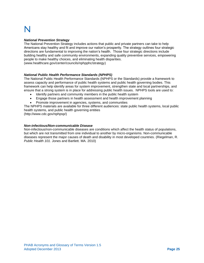## N

#### *National Prevention Strategy*

The National Prevention Strategy includes actions that public and private partners can take to help Americans stay healthy and fit and improve our nation's prosperity. The strategy outlines four strategic directions are fundamental to improving the nation's health. Those four strategic directions include building healthy and safe community environments, expanding quality preventive services, empowering people to make healthy choices, and eliminating health disparities. [\(www.healthcare.gov/center/councils/nphpphc/strategy\)](http://www.healthcare.gov/center/councils/nphpphc/strategy)

### *National Public Health Performance Standards (NPHPS)*

The National Public Health Performance Standards (NPHPS or the Standards) provide a framework to assess capacity and performance of public health systems and public health governing bodies. This framework can help identify areas for system improvement, strengthen state and local partnerships, and ensure that a strong system is in place for addressing public health issues. NPHPS tools are used to:

- Identify partners and community members in the public health system
- Engage those partners in health assessment and health improvement planning
- Promote improvement in agencies, systems, and communities

The NPHPS materials are available for three different audiences: state public health systems, local public health systems, and public health governing entities

(http://www.cdc.gov/nphpsp/)

#### *Non-infectious/Non-communicable Disease*

Non-infectious/non-communicable diseases are conditions which affect the health status of populations, but which are not transmitted from one individual to another by micro-organisms. Non-communicable diseases represent the major causes of death and disability in most developed countries. (Riegelman, R. *Public Health 101.* Jones and Bartlett. MA. 2010)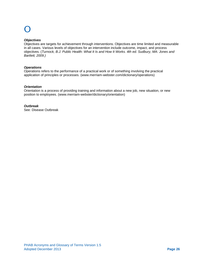#### *Objectives*

Objectives are targets for achievement through interventions. Objectives are time limited and measurable in all cases. Various levels of objectives for an intervention include outcome, impact, and process objectives. (*Turnock, B.J. Public Health: What It Is and How It Works. 4th ed. Sudbury, MA: Jones and Bartlett; 2009.)*

#### *Operations*

Operations refers to the performance of a practical work or of something involving the practical application of principles or processes. [\(www.merriam-webster.com/dictionary/operations\)](http://www.merriam-webster.com/dictionary/operations)

#### *Orientation*

Orientation is a process of providing training and information about a new job, new situation, or new position to employees. [\(www.merriam-webster/dictionary/orientation\)](http://www.merriam-webster/dictionary/orientation)

*Outbreak* See: Disease Outbreak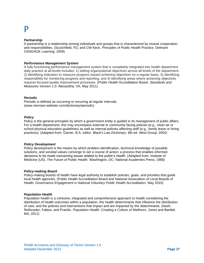## P

#### *Partnership*

A partnership is a relationship among individuals and groups that is characterized by mutual cooperation and responsibilities. (Scutchfield, FD, and CW Keck. *Principles of Public Health Practice.* Delmare CENGAGE Learning. 2009)

#### *Performance Management System*

A fully functioning performance management system that is completely integrated into health department daily practice at all levels includes: 1) setting organizational objectives across all levels of the department, 2) identifying indicators to measure progress toward achieving objectives on a regular basis, 3) identifying responsibility for monitoring progress and reporting, and 4) identifying areas where achieving objectives requires focused quality improvement processes. (Public Health Accreditation Board. *Standards and Measures Version 1.0.* Alexandria, VA, May 2011)

#### *Periodic*

Periodic is defined as occurring or recurring at regular intervals. [\(www.merriam-webster.com/dictionary/periodic\)](http://www.merriam-webster.com/dictionary/periodic)

#### *Policy*

Policy is the general principles by which a government entity is guided in its management of public affairs. For a health department, this may encompass external or community-facing policies (e.g., clean air or school physical education guidelines) as well as internal policies affecting staff (e.g., family leave or hiring practices). (Adapted from: Garner, B.A. editor. *Black's Law Dictionary.* 8th ed. West Group; 2004)

#### *Policy Development*

Policy development is the means by which problem identification, technical knowledge of possible solutions, and societal values converge to set a course of action; a process that enables informed decisions to be made concerning issues related to the public's health. (Adapted from: Institute of Medicine (US). *The Future of Public Health.* Washington, DC: National Academies Press; 1988*)*

#### *Policy-making Board*

Policy-making boards of health have legal authority to establish policies, goals, and priorities that guide local health agencies. (Public Health Accreditation Board and National Association of Local Boards of Health. *Governance Engagement in National Voluntary Public Health Accreditation.* May 2010)

#### *Population Health*

Population health is a cohesive, integrated and comprehensive approach to health considering the distribution of health outcomes within a population, the health determinants that influence the distribution of care, and the policies and interventions that impact and are impacted by the determinants. (Nash, Reifsnyder, Fabius, and Pracilio. *Population Health: Creating a Culture of Wellness.* Jones and Bartlett. MA, 2011)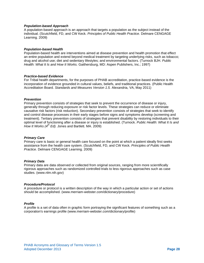#### *Population-based Approach*

A population-based approach is an approach that targets a population as the subject instead of the individual. (Scutchfield, FD, and CW Keck. *Principles of Public Health Practice.* Delmare CENGAGE Learning. 2009)

#### *Population-based Health*

Population-based health are interventions aimed at disease prevention and health promotion that effect an entire population and extend beyond medical treatment by targeting underlying risks, such as tobacco; drug and alcohol use; diet and sedentary lifestyles; and environmental factors. (Turnock BJH. *Public Health: What It Is and How It Works.* Gaithersburg, MD: Aspen Publishers, Inc.; 1997)

#### *Practice-based Evidence*

For Tribal health departments, for the purposes of PHAB accreditation, practice-based evidence is the incorporation of evidence grounded in cultural values, beliefs, and traditional practices. (Public Health Accreditation Board. *Standards and Measures Version 1.5.* Alexandria, VA, May 2011)

#### *Prevention*

Primary prevention consists of strategies that seek to prevent the occurrence of disease or injury, generally through reducing exposure or risk factor levels. These strategies can reduce or eliminate causative risk factors (risk reduction). Secondary prevention consists of strategies that seek to identify and control disease processes in their early stages before signs and symptoms develop (screening and treatment). Tertiary prevention consists of strategies that prevent disability by restoring individuals to their optimal level of functioning after a disease or injury is established. (Turnock. *Public Health: What It Is and How It Works (4th Ed).* Jones and Bartlett. MA. 2009)

#### *Primary Care*

Primary care is basic or general health care focused on the point at which a patient ideally first seeks assistance from the health care system. (Scutchfield, FD, and CW Keck. *Principles of Public Health Practice.* Delmare CENGAGE Learning. 2009)

#### *Primary Data*

Primary data are data observed or collected from original sources, ranging from more scientifically rigorous approaches such as randomized controlled trials to less rigorous approaches such as case studies. [\(www.nlm.nih.gov\)](http://www.nlm.nih.gov/)

#### *Procedure/Protocol*

A procedure or protocol is a written description of the way in which a particular action or set of actions should be accomplished. [\(www.merriam-webster.com/dictionary/procedure\)](http://www.merriam-webster.com/dictionary/procedure)

#### *Profile*

A profile is a set of data often in graphic form portraying the significant features of something such as a corporation's earnings profile (www.merriam-webster.com/dictionary/profile)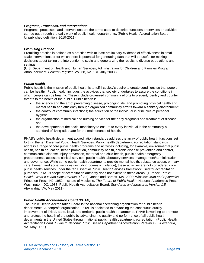#### *Programs, Processes, and Interventions*

Programs, processes, and interventions are the terms used to describe functions or services or activities carried out through the daily work of public health departments. (Public Health Accreditation Board. Unpublished definition. 2010-2011)

#### *Promising Practice*

Promising practice is defined as a practice with at least preliminary evidence of effectiveness in smallscale interventions or for which there is potential for generating data that will be useful for making decisions about taking the intervention to scale and generalizing the results to diverse populations and settings.

(U.S. Department of Health and Human Services, Administration for Children and Families Program Announcement. *Federal Register,* Vol. 68, No. 131, July 2003.)

#### *Public Health*

Public health is the mission of public health is to fulfill society's desire to create conditions so that people can be healthy. Public health includes the activities that society undertakes to assure the conditions in which people can be healthy. These include organized community efforts to prevent, identify and counter threats to the health of the public. Public health is:

- the science and the art of preventing disease, prolonging life, and promoting physical health and mental health and efficiency through organized community efforts toward a sanitary environment;
- the control of community infections; the education of the individual in principles of personal hygiene;
- the organization of medical and nursing service for the early diagnosis and treatment of disease; and
- the development of the social machinery to ensure to every individual in the community a standard of living adequate for the maintenance of health.

PHAB's public health department accreditation standards address the array of public health functions set forth in the ten Essential Public Health Services. Public health department accreditation standards address a range of core public health programs and activities including, for example, environmental public health, health education, health promotion, community health, chronic disease prevention and control, communicable disease, injury prevention, maternal and child health, public health emergency preparedness, access to clinical services, public health laboratory services, management/administration, and governance. While some public health departments provide mental health, substance abuse, primary care, human, and social services (including domestic violence), these activities are not considered core public health services under the ten Essential Public Health Services framework used for accreditation purposes. PHAB's scope of accreditation authority does not extend to these areas. (Turnock. *Public Health: What It Is and How It Works (4th Ed).* Jones and Bartlett. MA. 2009; Winslow. *Man and Epidemics.*  Princeton Press. NJ. 1952. Institute of Medicine. *The Future of Public Health.* National Academies Press. Washington, DC. 1988; Public Health Accreditation Board. *Standards and Measures Version 1.5.*  Alexandria, VA, May 2011)

#### *Public Health Accreditation Board (PHAB)*

The Public Health Accreditation Board is the national accrediting organization for public health departments. A nonprofit organization, PHAB is dedicated to advancing the continuous quality improvement of Tribal, state, local, and territorial public health departments. PHAB is working to promote and protect the health of the public by advancing the quality and performance of all public health departments in the United States through national public health department accreditation. (Public Health Accreditation Board. *Guide to National Public Health Department Accreditation Version 1.0.* Alexandria, VA, May 2011)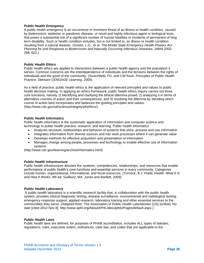#### *Public Health Emergency*

A public health emergency is an occurrence or imminent threat of an illness or health condition, caused by bioterrorism, epidemic or pandemic disease, or novel and highly infectious agent or biological toxin, that poses a substantial risk of a significant number of human fatalities or incidents of permanent of long term disability. Such or health condition includes, but is not limited to, an illness or health condition resulting from a natural disaster. (Gostin, L.O., et al. *The Model State Emergency Health Powers Act: Planning for and Response to Bioterrorism and Naturally Occurring Infectious Diseases,* JAMA 2002: 288: 622.)

#### *Public Health Ethics*

Public health ethics are applied to interactions between a public health agency and the population it serves. Common concerns are the interdependence of individuals and the tensions between the rights of individuals and the good of the community. (Scutchfield, FD, and CW Keck. *Principles of Public Health Practice.* Delmare CENGAGE Learning. 2009)

As a field of practice, public health ethics is the application of relevant principles and values to public health decision making. In applying an ethics framework, public health ethics inquiry carries out three core functions, namely 1) identifying and clarifying the ethical dilemma posed, 2) analyzing it in terms of alternative courses of action and their consequences, and 3) resolving the dilemma by deciding which course of action best incorporates and balances the guiding principles and values. (http://www.cdc.gov/od/science/integrity/phethics/)

#### *Public Health Informatics*

Public health informatics is the systematic application of information and computer science and technology to public health practice, research, and learning. Public health informatics

- Analyzes structure, relationships and behavior of systems that store, process and use information
- Integrates information from diverse sources and into work processes where it can generate value
- Develops methods for effective acquisition and presentation of information
- Manages change among people, processes and technology to enable effective use of information systems

(http://www.cdc.gov/learning/archive/informatics.html)

#### *Public Health Infrastructure*

Public health infrastructure denotes the systems, competencies, relationships, and resources that enable performance of public health's core functions and essential services in every community. Categories include human, organizational, informational, and fiscal resources. (Turnock, B.J. *Public Health: What It Is and How It Works.* 4th ed. Sudbury, MA: Jones and Bartlett; 2009)

#### *Public Health Laboratory*

A public health laboratory is a scientific research facility that, in collaboration with the public health system, provides clinical diagnostic testing, disease surveillance, environmental and radiological testing, emergency response support, applied research, laboratory training and other essential services to the communities they serve. (Adapted from: The Association of Public Health Laboratories (US) [online]. No date [cited 2012 Nov 8]. http://www.aphl.org/AboutAPHL/aboutphls/Pages/default.aspx.)

#### *Public Health Laws*

Public health laws are defined, for purposes of PHAB accreditation, includes ALL types of statutes, regulations, rules, executive orders, ordinances, case law, and codes that are applicable to the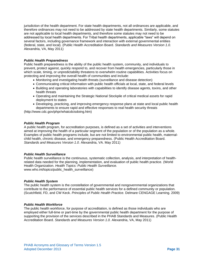jurisdiction of the health department. For state health departments, not all ordinances are applicable, and therefore ordinances may not need to be addressed by state health departments. Similarly, some statutes are not applicable to local health departments, and therefore some statutes may not need to be addressed by local health departments. For Tribal health departments, applicable "laws" will depend on several factors, including governance framework and interaction with external governmental entities (federal, state, and local). (Public Health Accreditation Board. *Standards and Measures Version 1.0.*  Alexandria, VA, May 2011)

#### *Public Health Preparedness*

Public health preparedness is the ability of the public health system, community, and individuals to prevent, protect against, quickly respond to, and recover from health emergencies, particularly those in which scale, timing, or unpredictability threatens to overwhelm routine capabilities. Activities focus on protecting and improving the overall health of communities and include:

- Monitoring and investigating health threats (surveillance and disease detection)
- Communicating critical information with public health officials at local, state, and federal levels
- Building and operating laboratories with capabilities to identify disease agents, toxins, and other health threats
- Operating and maintaining the Strategic National Stockpile of critical medical assets for rapid deployment to states
- Developing, practicing, and improving emergency response plans at state and local public health departments to ensure rapid and effective responses to real health security threats

(http://www.cdc.gov/phpr/whatcdcisdoing.htm)

#### *Public Health Program*

A public health program, for accreditation purposes, is defined as a set of activities and interventions aimed at improving the health of a particular segment of the population or of the population as a whole. Examples of public health programs include, but are not limited to environmental public health, maternalchild health, chronic disease, and emergency preparedness. (Public Health Accreditation Board. *Standards and Measures Version 1.0*. Alexandria, VA. May 2011)

#### *Public Health Surveillance*

Public health surveillance is the continuous, systematic collection, analysis, and interpretation of healthrelated data needed for the planning, implementation, and evaluation of public health practice. (World Health Organization. *Health Topics: Public Health Surveillance.* [www.who.int/topics/public\\_health\\_surveillance\)](http://www.who.int/topics/public_health_surveillance)

#### *Public Health System*

The public health system is the constellation of governmental and nongovernmental organizations that contribute to the performance of essential public health services for a defined community or population. (Scutchfield, FD, and CW Keck. *Principles of Public Health Practice.* Delmare CENGAGE Learning. 2009)

### *Public Health Workforce*

The public health workforce, for purpose of accreditation, is defined as those individuals who are employed either full-time or part-time by the governmental public health department for the purpose of supporting the provision of the services described in the PHAB Standards and Measures. (Public Health Accreditation Board. *Standards and Measures Version 1.0.* Alexandria, VA, May 2011)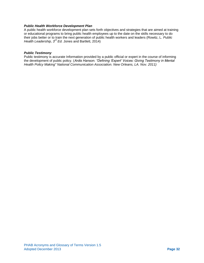#### *Public Health Workforce Development Plan*

A public health workforce development plan sets forth objectives and strategies that are aimed at training or educational programs to bring public health employees up to the date on the skills necessary to do their jobs better or to train the next generation of public health workers and leaders (Rowitz, L. *Public Health Leadership, 3rd Ed.* Jones and Bartlett, 2014)

#### *Public Testimony*

Public testimony is accurate Information provided by a public official or expert in the course of informing the development of public policy. (*Ardis Hanson. "Defining 'Expert' Voices: Giving Testimony in Mental Health Policy Making" National Communication Association. New Orleans, LA. Nov. 2011)*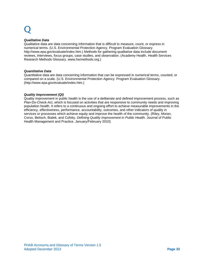#### *Qualitative Data*

Qualitative data are data concerning information that is difficult to measure, count, or express in numerical terms. (U.S. Environmental Protection Agency. Program Evaluation Glossary. http://www.epa.gov/evaluate/index.htm.) Methods for gathering qualitative data include document reviews, interviews, focus groups, case studies, and observation. (Academy Health. Health Services Research Methods Glossary. www.hsrmethods.org.)

#### *Quantitative Data*

Quantitative data are data concerning information that can be expressed in numerical terms, counted, or compared on a scale. (U.S. Environmental Protection Agency. Program Evaluation Glossary. (http://www.epa.gov/evaluate/index.htm.)

#### *Quality Improvement (QI)*

Quality improvement in public health is the use of a deliberate and defined improvement process, such as Plan-Do-Check-Act, which is focused on activities that are responsive to community needs and improving population health. It refers to a continuous and ongoing effort to achieve measurable improvements in the efficiency, effectiveness, performance, accountability, outcomes, and other indicators of quality in services or processes which achieve equity and improve the health of the community. (Riley, Moran, Corso, Beitsch, Bialek, and Cofsky. *Defining Quality Improvement in Public Health.* Journal of Public Health Management and Practice. January/February 2010)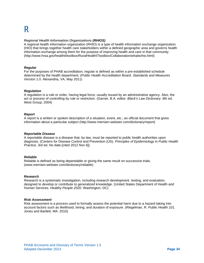#### *Regional Health Information Organizations (RHIOS)*

A regional health information organization (RHIO) is a type of health information exchange organization (HIO) that brings together health care stakeholders within a defined geographic area and governs health information exchange among them for the purpose of improving health and care in that community. (http://www.hrsa.gov/healthit/toolbox/RuralHealthITtoolbox/Collaboration/whatisrhio.html)

#### *Regular*

For the purposes of PHAB accreditation, regular is defined as within a pre-established schedule determined by the health department. (Public Health Accreditation Board. *Standards and Measures Version 1.0.* Alexandria, VA, May 2011)

#### *Regulation*

A regulation is a rule or order, having legal force, usually issued by an administrative agency. Also, the act or process of controlling by rule or restriction. (Garner, B.A. editor*. Black's Law Dictionary.* 8th ed. West Group; 2004)

#### *Report*

A report is a written or spoken description of a situation, event, etc.; an official document that gives information about a particular subject (http://www.merriam-webster.com/dictionary/report)

#### *Reportable Disease*

A reportable disease is a disease that, by law, must be reported to public health authorities upon diagnosis. (Centers for Disease Control and Prevention (US). *Principles of Epidemiology in Public Health Practice,* 3rd ed. No date [cited 2012 Nov 6])

#### *Reliable*

Reliable is defined as being dependable or giving the same result on successive trials. [\(www.merriam-webster.com/dictionary/reliable\)](http://www.merriam-webster.com/dictionary/reliable)

#### *Research*

Research is a systematic investigation, including research development, testing, and evaluation, designed to develop or contribute to generalized knowledge. (United States Department of Health and Human Services. *Healthy People 2020.* Washington, DC)

#### *Risk Assessment*

Risk assessment is a process used to formally assess the potential harm due to a hazard taking into account factors such as likelihood, timing, and duration of exposure. (Riegelman, R. *Public Health 101.*  Jones and Bartlett. MA. 2010)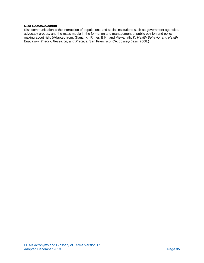#### *Risk Communication*

Risk communication is the interaction of populations and social institutions such as government agencies, advocacy groups, and the mass media in the formation and management of public opinion and policy making about risk. (Adapted from: Glanz, K., Rimer, B.K., and Viswanath, K. *Health Behavior and Health Education: Theory, Research, and Practice.* San Francisco, CA: Jossey-Bass; 2008.)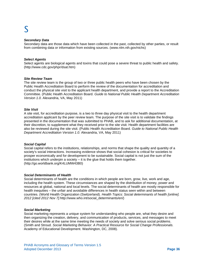#### *Secondary Data*

Secondary data are those data which have been collected in the past, collected by other parties, or result from combining data or information from existing sources. [\(www.nlm.nih.gov/nichs\)](http://www.nlm.nih.gov/nichs)

#### *Select Agents*

Select agents are biological agents and toxins that could pose a severe threat to public health and safety. (http://www.cdc.gov/phpr/dsat.htm)

#### *Site Review Team*

The site review team is the group of two or three public health peers who have been chosen by the Public Health Accreditation Board to perform the review of the documentation for accreditation and conduct the physical site visit to the applicant health department, and provide a report to the Accreditation Committee. (Public Health Accreditation Board. *Guide to National Public Health Department Accreditation Version 1.0.* Alexandria, VA, May 2011)

#### *Site Visit*

A site visit, for accreditation purpose, is a two to three day physical visit to the health department accreditation applicant by the peer review team. The purpose of the site visit is to validate the findings presented in the documentation that was submitted to PHAB, and to ask for additional documentation, at their discretion, to supplement what they received prior to the site visit. Health department facilities are also be reviewed during the site visit. (Public Health Accreditation Board. *Guide to National Public Health Department Accreditation Version 1.0.* Alexandria, VA, May 2011)

#### *Social Capital*

Social capital refers to the institutions, relationships, and norms that shape the quality and quantity of a society's social interactions. Increasing evidence shows that social cohesion is critical for societies to prosper economically and for development to be sustainable. Social capital is not just the sum of the institutions which underpin a society  $-$  it is the glue that holds them together. (http://go.worldbank.org/K4LUMW43B0)

#### *Social Determinants of Health*

Social determinants of health are the conditions in which people are born, grow, live, work and age, including the health system. These circumstances are shaped by the distribution of money, power and resources at global, national and local levels. The social determinants of health are mostly responsible for health inequities – the unfair and avoidable differences in health status seen within and between countries. (World Health Organization (Switzerland). *Health Topics: Social determinants of health [online]. 2012 [cited 2012 Nov 7].*http://www.who.int/social\_determinants/en/)

#### *Social Marketing*

Social marketing represents a unique system for understanding who people are, what they desire and then organizing the creation, delivery, and communication of products, services, and messages to meet their desires while at the same time meeting the needs of society and solve serious social problems. (Smith and Stroud. *Social Marketing Behavior: A Practical Resource for Social Change Professionals.*  Academy of Educational Development. Washington, DC, 2008).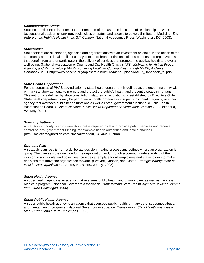#### *Socioeconomic Status*

Socioeconomic status is a complex phenomenon often based on indicators of relationships to work (occupational position or ranking), social class or status, and access to power. (Institute of Medicine. *The Future of the Public's Health in the 21st Century.* National Academies Press. Washington, DC. 2003).

#### *Stakeholder*

Stakeholders are all persons, agencies and organizations with an investment or 'stake' in the health of the community and the local public health system. This broad definition includes persons and organizations that benefit from and/or participate in the delivery of services that promote the public's health and overall well-being. (National Association of County and City Health Officials (US). *Mobilizing for Action through Planning and Partnerships (MAPP): Achieving Healthier Communities through MAPP, A User's Handbook.* 2001 http://www.naccho.org/topics/infrastructure/mapp/upload/MAPP\_Handbook\_fnl.pdf)

#### *State Health Department*

For the purposes of PHAB accreditation, a state health department is defined as the governing entity with primary statutory authority to promote and protect the public's health and prevent disease in humans. This authority is defined by state constitution, statutes or regulations, or established by Executive Order. State health departments may be part of an umbrella organization, super public health agency, or super agency that oversees public health functions as well as other government functions. (Public Health Accreditation Board. *Guide to National Public Health Department Accreditation Version 1.0.* Alexandria, VA, May 2011).

#### *Statutory Authority*

A statutory authority is an organization that is required by law to provide public services and receive central or local government funding, for example health authorities and local authorities. **(**http://society.theguardian.com/glossary/page/0,,646462,00.html)

#### *Strategic Plan*

A strategic plan results from a deliberate decision-making process and defines where an organization is going. The plan sets the direction for the organization and, through a common understanding of the mission, vision, goals, and objectives, provides a template for all employees and stakeholders to make decisions that move the organization forward. (Swayne, Duncan, and Ginter. *Strategic Management of Health Care Organizations.* Jossey Bass. New Jersey. 2008)

#### *Super Health Agency*

A super health agency is an agency that oversees public health and primary care, as well as the state Medicaid program. (National Governors Association. *Transforming State Health Agencies to Meet Current and Future Challenges*. 1996)

#### *Super Public Health Agency*

A super public health agency is an agency that oversees public health, primary care, substance abuse, and mental health programs. (National Governors Association. *Transforming State Health Agencies to Meet Current and Future Challenges*. 1996)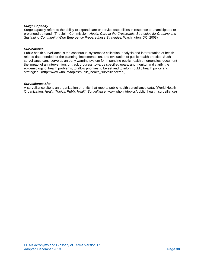#### *Surge Capacity*

Surge capacity refers to the ability to expand care or service capabilities in response to unanticipated or prolonged demand. (The Joint Commission. *Health Care at the Crossroads: Strategies for Creating and Sustaining Community-Wide Emergency Preparedness Strategies.* Washington, DC. 2003)

#### *Surveillance*

Public health surveillance is the continuous, systematic collection, analysis and interpretation of healthrelated data needed for the planning, implementation, and evaluation of public health practice. Such surveillance can: serve as an early warning system for impending public health emergencies; document the impact of an intervention, or track progress towards specified goals; and monitor and clarify the epidemiology of health problems, to allow priorities to be set and to inform public health policy and strategies. (http://www.who.int/topics/public\_health\_surveillance/en/)

#### *Surveillance Site*

A surveillance site is an organization or entity that reports public health surveillance data. (World Health Organization. *Health Topics: Public Health Surveillance.* [www.who.int/topics/public\\_health\\_surveillance\)](http://www.who.int/topics/public_health_surveillance)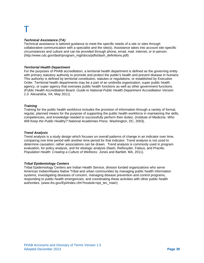#### *Technical Assistance (TA)*

Technical assistance is tailored guidance to meet the specific needs of a site or sites through collaborative communication with a specialist and the site(s). Assistance takes into account site-specific circumstances and culture and can be provided through phone, email, mail, internet, or in-person. (http://www.cdc.gov/dash/program\_mgt/docs/pdfs/dash\_definitions.pdf)

#### *Territorial Health Department*

For the purposes of PHAB accreditation, a territorial health department is defined as the governing entity with primary statutory authority to promote and protect the public's health and prevent disease in humans. This authority is defined by territorial constitution, statutes or regulations, or established by Executive Order. Territorial health departments may be a part of an umbrella organization, super public health agency, or super agency that oversees public health functions as well as other government functions. (Public Health Accreditation Board. *Guide to National Public Health Department Accreditation Version 1.0.* Alexandria, VA, May 2011)

#### *Training*

Training for the public health workforce includes the provision of information through a variety of formal, regular, planned means for the purpose of supporting the public health workforce in maintaining the skills, competencies, and knowledge needed to successfully perform their duties. (Institute of Medicine. *Who Will Keep the Public Healthy?* National Academies Press. Washington, DC, 2003).

#### *Trend Analysis*

Trend analysis is a study design which focuses on overall patterns of change in an indicator over time, comparing one time period with another time period for that indicator. Trend analysis is not used to determine causation; rather associations can be drawn. Trend analysis is commonly used in program evaluation, for policy analysis, and for etiologic analysis (Nash, Reifsnyder, Fabius, and Pracilio. *Population Health: Creating a Culture of Wellness.* Jones and Bartlett. MA, 2011).

### *Tribal Epidemiology Centers*

Tribal Epidemiology Centers are Indian Health Service, division funded organizations who serve American Indian/Alaska Native Tribal and urban communities by managing public health information systems, investigating diseases of concern, managing disease prevention and control programs, responding to public health emergencies, and coordinating these activities with other public health authorities. [\(www.ihs.gov/Epi/index.cfm?module=epi\\_tec\\_main\)](http://www.ihs.gov/Epi/index.cfm?module=epi_tec_main)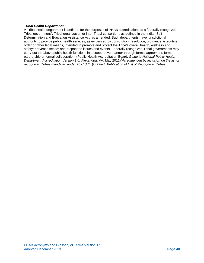#### *Tribal Health Department*

A Tribal health department is defined, for the purposes of PHAB accreditation, as a federally recognized Tribal government<sup>1</sup>, Tribal organization or inter-Tribal consortium, as defined in the Indian Self-Determination and Education Assistance Act, as amended. Such departments have jurisdictional authority to provide public health services, as evidenced by constitution, resolution, ordinance, executive order or other legal means, intended to promote and protect the Tribe's overall health, wellness and safety; prevent disease; and respond to issues and events. Federally recognized Tribal governments may carry out the above public health functions in a cooperative manner through formal agreement, formal partnership or formal collaboration. (Public Health Accreditation Board. *Guide to National Public Health Department Accreditation Version 1.0.* Alexandria, VA, May 2011)*<sup>1</sup> As evidenced by inclusion on the list of recognized Tribes mandated under 25 U.S.C. § 479a-1. Publication of List of Recognized Tribes.*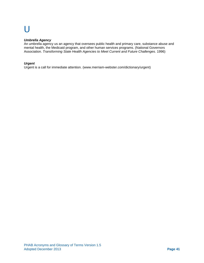## $\mathsf{U}% _{t}\left( \mathsf{U}\right)$

#### *Umbrella Agency*

An umbrella agency us an agency that oversees public health and primary care, substance abuse and mental health, the Medicaid program, and other human services programs. (National Governors Association. *Transforming State Health Agencies to Meet Current and Future Challenges*. 1996)

#### *Urgent*

Urgent is a call for immediate attention. [\(www.merriam-webster.com/dictionary/urgent\)](http://www.merriam-webster.com/dictionary/urgent)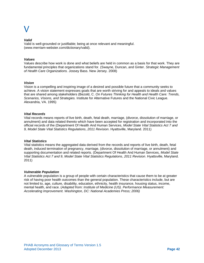#### *Valid*

Valid is well-grounded or justifiable; being at once relevant and meaningful. [\(www.merriam-webster.com/dictionary/valid\)](http://www.merriam-webster.com/dictionary/valid).

#### *Values*

Values describe how work is done and what beliefs are held in common as a basis for that work. They are fundamental principles that organizations stand for. (Swayne, Duncan, and Ginter. *Strategic Management of Health Care Organizations.* Jossey Bass. New Jersey. 2008)

#### *Vision*

Vision is a compelling and inspiring image of a desired and possible future that a community seeks to achieve. A vision statement expresses goals that are worth striving for and appeals to ideals and values that are shared among stakeholders (Bezold, C. *On Futures Thinking for Health and Health Care: Trends, Scenarios, Visions, and Strategies.* Institute for Alternative Futures and the National Civic League. Alexandria, VA. 1995)

#### *Vital Records*

Vital records means reports of live birth, death, fetal death, marriage, (divorce, dissolution of marriage, or annulment) and data related thereto which have been accepted for registration and incorporated into the official records of the (Department Of Health And Human Services, *Model State Vital Statistics Act 7 and 9, Model State Vital Statistics Regulations*, *2011 Revision*. Hyattsville, Maryland. 2011)

#### *Vital Statistics*

Vital statistics means the aggregated data derived from the records and reports of live birth, death, fetal death, induced termination of pregnancy, marriage, (divorce, dissolution of marriage, or annulment) and supporting documentation and related reports. (Department Of Health And Human Services, *Model State Vital Statistics Act 7 and 9, Model State Vital Statistics Regulations*, *2011 Revision*. Hyattsville, Maryland. 2011)

#### *Vulnerable Population*

A vulnerable population is a group of people with certain characteristics that cause them to be at greater risk of having poor health outcomes than the general population. These characteristics include, but are not limited to, age, culture, disability, education, ethnicity, health insurance, housing status, income, mental health, and race. (*Adapted from: Institute of Medicine (US). Performance Measurement: Accelerating Improvement. Washington, DC: National Academies Press; 2006)*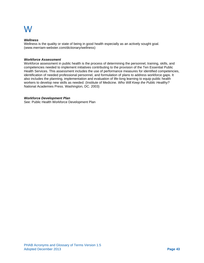#### *Wellness*

Wellness is the quality or state of being in good health especially as an actively sought goal*.*  [\(www.merriam-webster.com/dictionary/wellness\)](http://www.merriam-webster.com/dictionary/wellness)

#### *Workforce Assessment*

Workforce assessment in public health is the process of determining the personnel, training, skills, and competencies needed to implement initiatives contributing to the provision of the Ten Essential Public Health Services. This assessment includes the use of performance measures for identified competencies, identification of needed professional personnel, and formulation of plans to address workforce gaps. It also includes the planning, implementation and evaluation of life-long learning to equip public health workers to develop new skills as needed. (Institute of Medicine. *Who Will Keep the Public Healthy?*  National Academies Press. Washington, DC. 2003)

#### *Workforce Development Plan*

See: Public Health Workforce Development Plan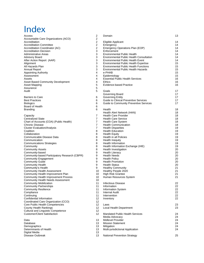## Index

| Access                                        | 2              | Domain                                                  | 13       |
|-----------------------------------------------|----------------|---------------------------------------------------------|----------|
| Accountable Care Organizations (ACO)          | 2              |                                                         |          |
| Accreditation                                 | $\overline{2}$ | Eligible Applicant                                      | 14       |
| <b>Accreditation Committee</b>                | 2              | Emergency                                               | 14       |
| Accreditation Coordinator (AC)                | 2              | Emergency Operations Plan (EOP)                         | 14       |
| <b>Accreditation Decision</b>                 | 3              | Enforcement                                             | 14       |
| Administrative Areas                          | 3              | <b>Environmental Public Health</b>                      | 14       |
| Advisory Board                                | 3              | <b>Environmental Public Health Consultation</b>         | 14       |
| After Action Report (AAR)                     | 3              | <b>Environmental Public Health Event</b>                | 14       |
| Alignment                                     | 3              | Environmental Public Health Expertise                   | 15       |
| All Hazards Plan                              | 3              | <b>Environmental Public Health Functions</b>            | 15       |
| <b>Annual Report</b>                          | 3              | <b>Environmental Public Health Hazards</b>              | 15       |
| <b>Appointing Authority</b>                   | 4              | e-PHAB                                                  | 15       |
| Assessment                                    | 4              | Epidemiology                                            | 15       |
| Assets                                        | 4              | <b>Essential Public Health Services</b>                 | 16       |
| <b>Asset Based Community Development</b>      | 4              | <b>Ethics</b>                                           | 16       |
| Asset Mapping                                 | 5              | Evidence-based Practice                                 | 16       |
| Assurance                                     | 5              |                                                         |          |
| Audit                                         | 5              | Goals                                                   | 17       |
|                                               |                | Governing Board                                         | 17       |
| <b>Barriers to Care</b>                       | 6              | <b>Governing Entity</b>                                 | 17       |
| <b>Best Practices</b>                         | 6              | Guide to Clinical Preventive Services                   | 17       |
| <b>Biologics</b>                              | 6              | Guide to Community Preventive Services                  | 17       |
| Board of Health                               | 6              |                                                         |          |
| Branding                                      | 6              | Health                                                  | 18       |
|                                               |                | Health Alert Network (HAN)                              | 18       |
| Capacity                                      | 7              | <b>Health Care Provider</b>                             | 18       |
| <b>Centralized State</b>                      | 7              | <b>Health Care Service</b>                              | 18       |
| Chart of Accounts (COA) (Public Health)       | 7              | <b>Health Care System</b>                               | 18       |
| Chronic Disease                               | $\overline{7}$ | <b>Health Communication</b>                             | 18       |
| <b>Cluster Evaluation/Analysis</b>            | 7              | <b>Health Disparities</b>                               | 19       |
| Coalition                                     | 8              | <b>Health Education</b>                                 | 19       |
| Collaboration                                 | 8              | <b>Health Equity</b>                                    | 19       |
| Communicable Disease Data                     | 8              | Health in all Policies                                  | 19       |
| Communication                                 | 8              | <b>Health Inequity</b>                                  | 19<br>19 |
| <b>Communications Strategies</b>              | 8<br>8         | Health Information<br>Health Information Exchange (HIE) | 19       |
| Community<br><b>Community Assets</b>          | 8              | Health Investigation                                    | 20       |
| Community-based                               | 9              | <b>Health Literacy</b>                                  | 20       |
| Community-based Participatory Research (CBPR) | 9              | <b>Health Needs</b>                                     | 20       |
| <b>Community Engagement</b>                   | 9              | <b>Health Policy</b>                                    | 20       |
| <b>Community Guide</b>                        | 9              | <b>Health Promotion</b>                                 | 20       |
| <b>Community Health</b>                       | 9              | <b>Health Status</b>                                    | 20       |
| Community's Health                            | 9              | <b>Healthy Community</b>                                | 21       |
| <b>Community Health Assessment</b>            | 10             | Healthy People 2020                                     | 21       |
| Community Health Improvement Plan             | 10             | High Risk Grantee                                       | 21       |
| <b>Community Health Improvement Process</b>   | 10             | Human Resources System                                  | 21       |
| Community Health Needs Assessment             | 10             |                                                         |          |
| <b>Community Mobilization</b>                 | 11             | Infectious Disease                                      | 22       |
| <b>Community Partnerships</b>                 | 11             | Information                                             | 22       |
| <b>Community Resilience</b>                   | 11             | <b>Information System</b>                               | 22       |
| Compliance                                    | 11             | <b>Internal Audit</b>                                   | 22       |
| Continuing                                    | 11             | Intervention                                            | 22       |
| Confidential Information                      | 12             | Inventory                                               | 22       |
| Coordinated Care Organization (CCO)           | 12             |                                                         |          |
| Core Public Health Competencies               | 12             | Laws                                                    | 23       |
| County Health Rankings                        | 12             | Local Health Department                                 | 23       |
| <b>Cultural and Linguistic Competence</b>     | 12             |                                                         |          |
| <b>Customer/Client Satisfaction</b>           | 12             | <b>Mandated Public Health Services</b>                  | 24       |
|                                               |                | Media Advocacy                                          | 24       |
| Data                                          | 13             | Midlevel Provider                                       | 24       |
| Database                                      | 13             | <b>Mission Statement</b>                                | 24       |
| Demographics                                  | 13             | Mitigation                                              | 24       |
| Determinants of Health                        | 13             | Multi-jurisdictional Application                        | 24       |
| Digital Media                                 | 13             |                                                         |          |
| Disease Outbreak                              | 13             | National Prevention Strategy                            | 25       |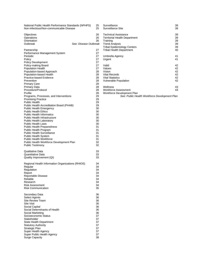| National Public Health Performance Standards (NPHPS)                         | 25             |
|------------------------------------------------------------------------------|----------------|
| Non-infectious/Non-communicable Disease                                      | 25             |
| Objectives<br>Operations<br>Orientation<br>Outbreak<br>See: Disease Outbreak | 26<br>26<br>26 |
| Partnership                                                                  | 27             |
| Performance Management System                                                | 27             |
| Periodic                                                                     | 27             |
| Policy                                                                       | 27             |
| <b>Policy Development</b>                                                    | 27             |
| Policy-making Board                                                          | 27             |
| <b>Population Health</b>                                                     | 27             |
| Population-based Approach                                                    | 28             |
| Population-based Health                                                      | 28             |
| Practice-based Evidence                                                      | 28             |
| Prevention                                                                   | 28             |
| <b>Primary Care</b>                                                          | 28             |
| <b>Primary Data</b>                                                          | 28             |
| Procedure/Protocol                                                           | 28             |
| Profile                                                                      | 28             |
| Programs, Processes, and Interventions                                       | 29             |
| <b>Promising Practice</b>                                                    | 29             |
| <b>Public Health</b>                                                         | 29             |
| Public Health Accreditation Board (PHAB)                                     | 29             |
| <b>Public Health Emergency</b>                                               | 30             |
| <b>Public Health Ethics</b>                                                  | 30             |
| <b>Public Health Informatics</b>                                             | 30             |
| Public Health Infrastructure                                                 | 30             |
| <b>Public Health Laboratory</b>                                              | 30             |
| <b>Public Health Laws</b>                                                    | 30             |
| <b>Public Health Preparedness</b>                                            | 31             |
| Public Health Program                                                        | 31             |
| <b>Public Health Surveillance</b>                                            | 31             |
| Public Health System                                                         | 31             |
| <b>Public Health Workforce</b>                                               | 31             |
| Public Health Workforce Development Plan                                     | 32             |
| <b>Public Testimony</b>                                                      | 32             |
| <b>Qualitative Data</b>                                                      | 33             |
| Quantitative Data                                                            | 33             |
| Quality Improvement (QI)                                                     | 33             |
| Regional Health Information Organizations (RHIOS)                            | 34             |
| Regular                                                                      | 34             |
| Regulation                                                                   | 34             |
| Report                                                                       | 34             |
| Reportable Disease                                                           | 34             |
| Reliable                                                                     | 34             |
| Research                                                                     | 34             |
| <b>Risk Assessment</b>                                                       | 34             |
| <b>Risk Communication</b>                                                    | 35             |
| Secondary Data                                                               | 36             |
| Select Agents                                                                | 36             |
| <b>Site Review Team</b>                                                      | 36             |
| <b>Site Visit</b>                                                            | 36             |
| Social Capital                                                               | 36             |
| Social Determinants of Health                                                | 36             |
| Social Marketing                                                             | 36             |
| Socioeconomic Status                                                         | 37             |
| Stakeholder                                                                  | 37             |
| State Health Department                                                      | 37             |
| <b>Statutory Authority</b>                                                   | 37             |
| Strategic Plan                                                               | 37             |
| Super Health Agency                                                          | 37             |
| Super Public Health Agency                                                   | 37             |
| <b>Surge Capacity</b>                                                        | 38             |

| Surveillance                                                                                                           | 38       |
|------------------------------------------------------------------------------------------------------------------------|----------|
| Surveillance Site                                                                                                      | 38       |
| Technical Assistance                                                                                                   | 39       |
| <b>Territorial Health Department</b>                                                                                   | 39       |
| Training                                                                                                               | 39       |
| <b>Trend Analysis</b>                                                                                                  | 39       |
| <b>Tribal Epidemiology Centers</b>                                                                                     | 39       |
| <b>Tribal Health Department</b>                                                                                        | 40       |
| Umbrella Agency                                                                                                        | 41       |
| Urgent                                                                                                                 | 41       |
| Valid                                                                                                                  | 42       |
| Values                                                                                                                 | 42       |
| Vision                                                                                                                 | 42       |
| <b>Vital Records</b>                                                                                                   | 42       |
| <b>Vital Statistics</b>                                                                                                | 42       |
| <b>Vulnerable Population</b>                                                                                           | 42       |
| Wellness<br><b>Workforce Assessment</b><br>Workforce Development Plan<br>See: Public Health Workforce Development Plan | 43<br>43 |